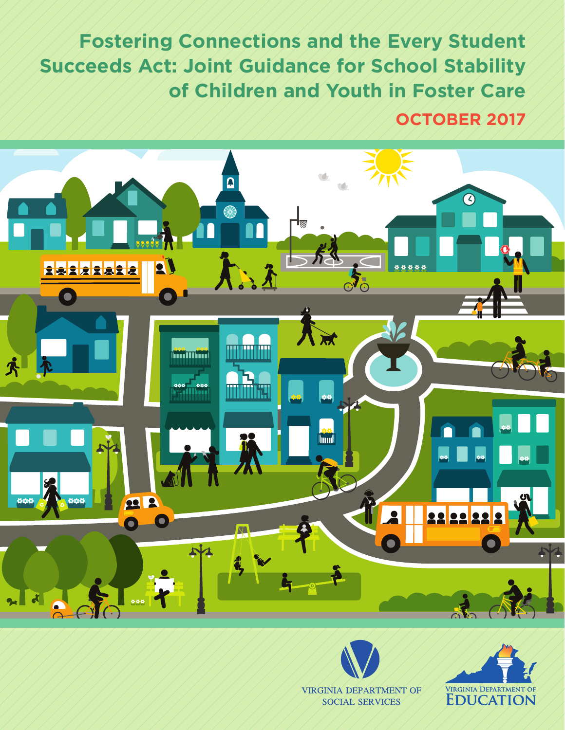**Fostering Connections and the Every Student Succeeds Act: Joint Guidance for School Stability of Children and Youth in Foster Care**

**OCTOBER 2017**





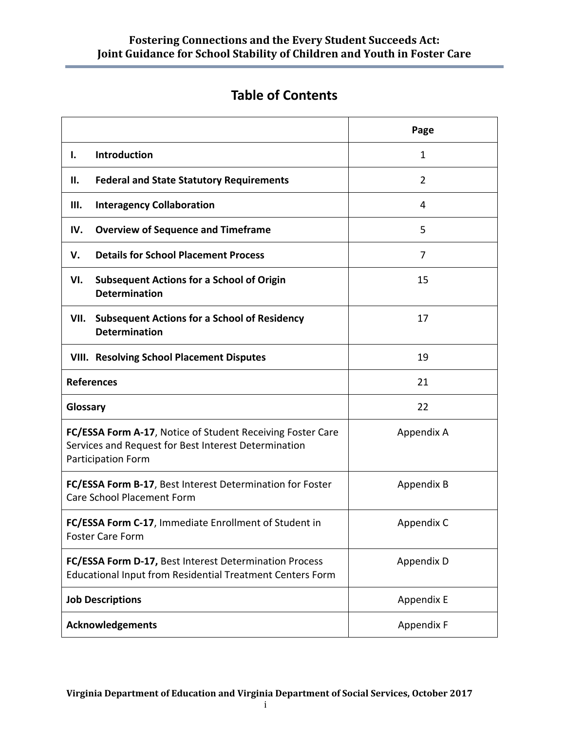# **Table of Contents**

|                                                                                                                                                 | Page         |  |
|-------------------------------------------------------------------------------------------------------------------------------------------------|--------------|--|
| Introduction<br>ı.                                                                                                                              | $\mathbf{1}$ |  |
| Н.<br><b>Federal and State Statutory Requirements</b>                                                                                           | 2            |  |
| Ш.<br><b>Interagency Collaboration</b>                                                                                                          | 4            |  |
| <b>Overview of Sequence and Timeframe</b><br>IV.                                                                                                | 5            |  |
| <b>Details for School Placement Process</b><br>V.                                                                                               | 7            |  |
| <b>Subsequent Actions for a School of Origin</b><br>VI.<br><b>Determination</b>                                                                 | 15           |  |
| <b>Subsequent Actions for a School of Residency</b><br>VII.<br><b>Determination</b>                                                             | 17           |  |
| <b>VIII. Resolving School Placement Disputes</b>                                                                                                | 19           |  |
| <b>References</b>                                                                                                                               | 21           |  |
| Glossary                                                                                                                                        | 22           |  |
| FC/ESSA Form A-17, Notice of Student Receiving Foster Care<br>Services and Request for Best Interest Determination<br><b>Participation Form</b> | Appendix A   |  |
| FC/ESSA Form B-17, Best Interest Determination for Foster<br><b>Care School Placement Form</b>                                                  | Appendix B   |  |
| FC/ESSA Form C-17, Immediate Enrollment of Student in<br><b>Foster Care Form</b>                                                                | Appendix C   |  |
| FC/ESSA Form D-17, Best Interest Determination Process<br>Educational Input from Residential Treatment Centers Form                             | Appendix D   |  |
| <b>Job Descriptions</b>                                                                                                                         | Appendix E   |  |
| <b>Acknowledgements</b>                                                                                                                         | Appendix F   |  |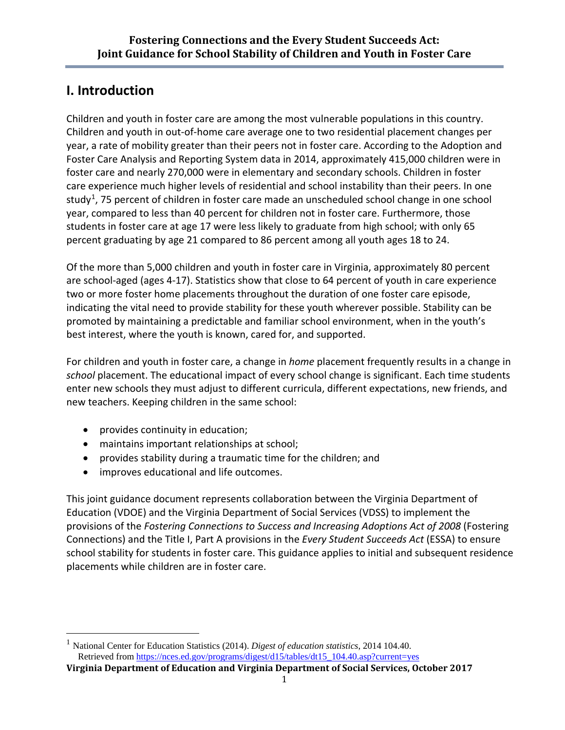# **I. Introduction**

Children and youth in foster care are among the most vulnerable populations in this country. Children and youth in out-of-home care average one to two residential placement changes per year, a rate of mobility greater than their peers not in foster care. According to the Adoption and Foster Care Analysis and Reporting System data in 2014, approximately 415,000 children were in foster care and nearly 270,000 were in elementary and secondary schools. Children in foster care experience much higher levels of residential and school instability than their peers. In one study<sup>[1](#page-2-0)</sup>, 75 percent of children in foster care made an unscheduled school change in one school year, compared to less than 40 percent for children not in foster care. Furthermore, those students in foster care at age 17 were less likely to graduate from high school; with only 65 percent graduating by age 21 compared to 86 percent among all youth ages 18 to 24.

Of the more than 5,000 children and youth in foster care in Virginia, approximately 80 percent are school-aged (ages 4-17). Statistics show that close to 64 percent of youth in care experience two or more foster home placements throughout the duration of one foster care episode, indicating the vital need to provide stability for these youth wherever possible. Stability can be promoted by maintaining a predictable and familiar school environment, when in the youth's best interest, where the youth is known, cared for, and supported.

For children and youth in foster care, a change in *home* placement frequently results in a change in *school* placement. The educational impact of every school change is significant. Each time students enter new schools they must adjust to different curricula, different expectations, new friends, and new teachers. Keeping children in the same school:

- provides continuity in education;
- maintains important relationships at school;
- provides stability during a traumatic time for the children; and
- improves educational and life outcomes.

This joint guidance document represents collaboration between the Virginia Department of Education (VDOE) and the Virginia Department of Social Services (VDSS) to implement the provisions of the *Fostering Connections to Success and Increasing Adoptions Act of 2008* (Fostering Connections) and the Title I, Part A provisions in the *Every Student Succeeds Act* (ESSA) to ensure school stability for students in foster care. This guidance applies to initial and subsequent residence placements while children are in foster care.

<span id="page-2-0"></span> <sup>1</sup> National Center for Education Statistics (2014). *Digest of education statistics*, 2014 104.40. Retrieved from [https://nces.ed.gov/programs/digest/d15/tables/dt15\\_104.40.asp?current=yes](https://nces.ed.gov/programs/digest/d15/tables/dt15_104.40.asp?current=yes) 

**Virginia Department of Education and Virginia Department of Social Services, October 2017**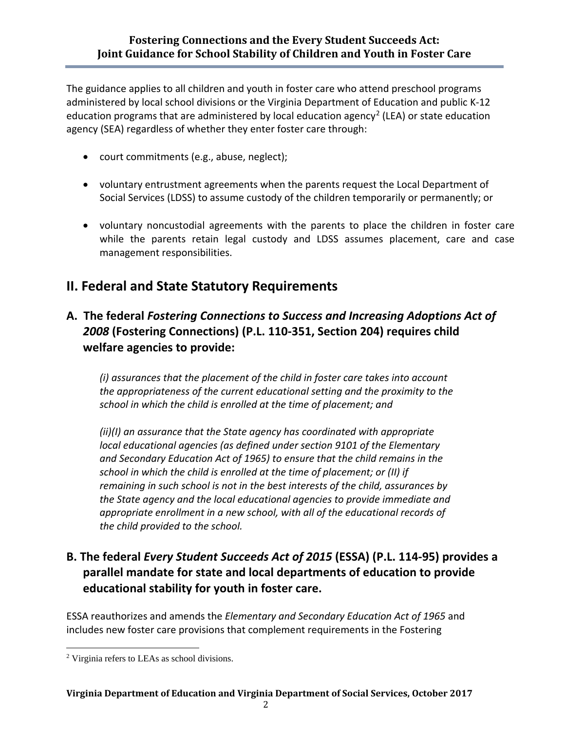The guidance applies to all children and youth in foster care who attend preschool programs administered by local school divisions or the Virginia Department of Education and public K-12 education programs that are administered by local education agency<sup>[2](#page-3-0)</sup> (LEA) or state education agency (SEA) regardless of whether they enter foster care through:

- court commitments (e.g., abuse, neglect);
- voluntary entrustment agreements when the parents request the Local Department of Social Services (LDSS) to assume custody of the children temporarily or permanently; or
- voluntary noncustodial agreements with the parents to place the children in foster care while the parents retain legal custody and LDSS assumes placement, care and case management responsibilities.

# **II. Federal and State Statutory Requirements**

# **A. The federal** *Fostering Connections to Success and Increasing Adoptions Act of 2008* **(Fostering Connections) (P.L. 110-351, Section 204) requires child welfare agencies to provide:**

*(i) assurances that the placement of the child in foster care takes into account the appropriateness of the current educational setting and the proximity to the school in which the child is enrolled at the time of placement; and* 

*(ii)(I) an assurance that the State agency has coordinated with appropriate local educational agencies (as defined under section 9101 of the Elementary and Secondary Education Act of 1965) to ensure that the child remains in the school in which the child is enrolled at the time of placement; or (II) if remaining in such school is not in the best interests of the child, assurances by the State agency and the local educational agencies to provide immediate and appropriate enrollment in a new school, with all of the educational records of the child provided to the school.*

# **B. The federal** *Every Student Succeeds Act of 2015* **(ESSA) (P.L. 114-95) provides a parallel mandate for state and local departments of education to provide educational stability for youth in foster care.**

ESSA reauthorizes and amends the *Elementary and Secondary Education Act of 1965* and includes new foster care provisions that complement requirements in the Fostering

<span id="page-3-0"></span> <sup>2</sup> Virginia refers to LEAs as school divisions.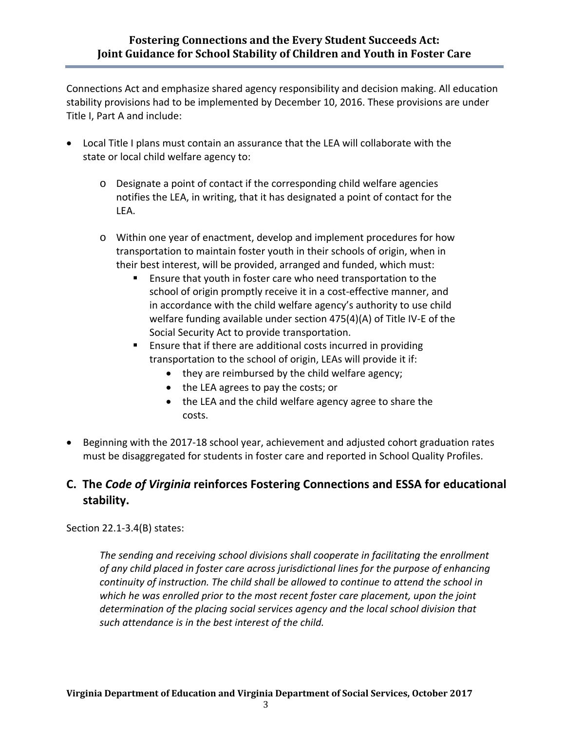Connections Act and emphasize shared agency responsibility and decision making. All education stability provisions had to be implemented by December 10, 2016. These provisions are under Title I, Part A and include:

- Local Title I plans must contain an assurance that the LEA will collaborate with the state or local child welfare agency to:
	- o Designate a point of contact if the corresponding child welfare agencies notifies the LEA, in writing, that it has designated a point of contact for the LEA.
	- o Within one year of enactment, develop and implement procedures for how transportation to maintain foster youth in their schools of origin, when in their best interest, will be provided, arranged and funded, which must:
		- Ensure that youth in foster care who need transportation to the school of origin promptly receive it in a cost-effective manner, and in accordance with the child welfare agency's authority to use child welfare funding available under section 475(4)(A) of Title IV-E of the Social Security Act to provide transportation.
		- **Ensure that if there are additional costs incurred in providing** transportation to the school of origin, LEAs will provide it if:
			- they are reimbursed by the child welfare agency;
			- the LEA agrees to pay the costs; or
			- the LEA and the child welfare agency agree to share the costs.
- Beginning with the 2017-18 school year, achievement and adjusted cohort graduation rates must be disaggregated for students in foster care and reported in School Quality Profiles.

# **C. The** *Code of Virginia* **reinforces Fostering Connections and ESSA for educational stability.**

Section [22.1-3.4\(B\)](http://leg1.state.va.us/cgi-bin/legp504.exe?000+cod+22.1-3.4) states:

*The sending and receiving school divisions shall cooperate in facilitating the enrollment of any child placed in foster care across jurisdictional lines for the purpose of enhancing continuity of instruction. The child shall be allowed to continue to attend the school in which he was enrolled prior to the most recent foster care placement, upon the joint determination of the placing social services agency and the local school division that such attendance is in the best interest of the child.*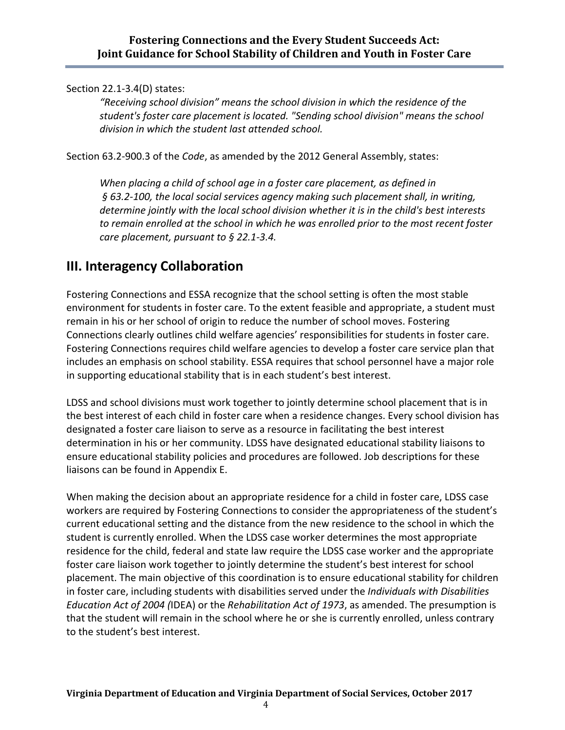Section 22.1-3.4(D) states:

*"Receiving school division" means the school division in which the residence of the student's foster care placement is located. "Sending school division" means the school division in which the student last attended school.* 

Section 63.2-900.3 of the *Code*, as amended by the 2012 General Assembly, states:

*When placing a child of school age in a foster care placement, as defined in § [63.2-100,](http://leg1.state.va.us/cgi-bin/legp504.exe?000+cod+63.2-100) the local social services agency making such placement shall, in writing, determine jointly with the local school division whether it is in the child's best interests to remain enrolled at the school in which he was enrolled prior to the most recent foster care placement, pursuant to § [22.1-3.4.](http://leg1.state.va.us/cgi-bin/legp504.exe?000+cod+22.1-3.4)* 

# **III. Interagency Collaboration**

Fostering Connections and ESSA recognize that the school setting is often the most stable environment for students in foster care. To the extent feasible and appropriate, a student must remain in his or her school of origin to reduce the number of school moves. Fostering Connections clearly outlines child welfare agencies' responsibilities for students in foster care. Fostering Connections requires child welfare agencies to develop a foster care service plan that includes an emphasis on school stability. ESSA requires that school personnel have a major role in supporting educational stability that is in each student's best interest.

LDSS and school divisions must work together to jointly determine school placement that is in the best interest of each child in foster care when a residence changes. Every school division has designated a foster care liaison to serve as a resource in facilitating the best interest determination in his or her community. LDSS have designated educational stability liaisons to ensure educational stability policies and procedures are followed. Job descriptions for these liaisons can be found in Appendix E.

When making the decision about an appropriate residence for a child in foster care, LDSS case workers are required by Fostering Connections to consider the appropriateness of the student's current educational setting and the distance from the new residence to the school in which the student is currently enrolled. When the LDSS case worker determines the most appropriate residence for the child, federal and state law require the LDSS case worker and the appropriate foster care liaison work together to jointly determine the student's best interest for school placement. The main objective of this coordination is to ensure educational stability for children in foster care, including students with disabilities served under the *Individuals with Disabilities Education Act of 2004 (*IDEA) or the *Rehabilitation Act of 1973*, as amended. The presumption is that the student will remain in the school where he or she is currently enrolled, unless contrary to the student's best interest.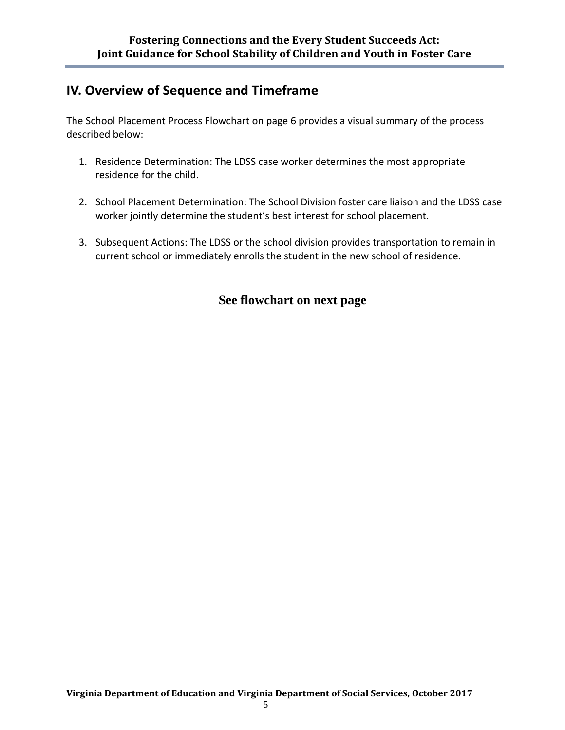# **IV. Overview of Sequence and Timeframe**

The School Placement Process Flowchart on page 6 provides a visual summary of the process described below:

- 1. Residence Determination: The LDSS case worker determines the most appropriate residence for the child.
- 2. School Placement Determination: The School Division foster care liaison and the LDSS case worker jointly determine the student's best interest for school placement.
- 3. Subsequent Actions: The LDSS or the school division provides transportation to remain in current school or immediately enrolls the student in the new school of residence.

# **See flowchart on next page**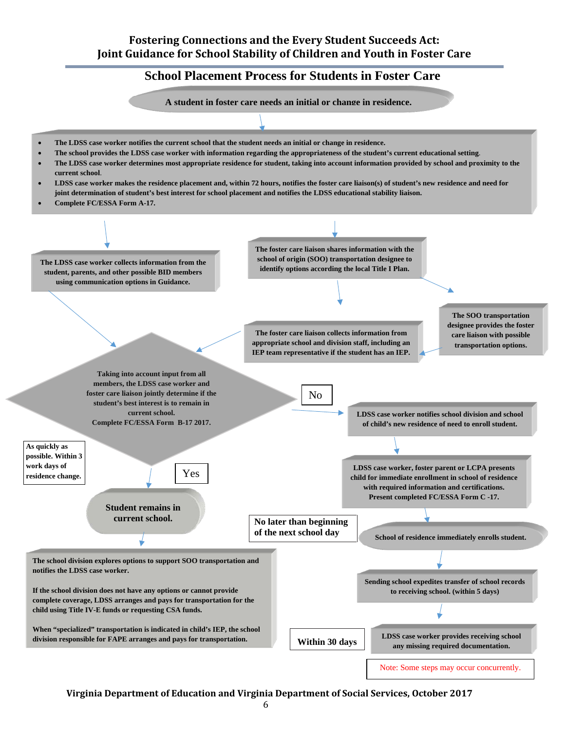#### **Fostering Connections and the Every Student Succeeds Act: Joint Guidance for School Stability of Children and Youth in Foster Care**

# **School Placement Process for Students in Foster Care**

**A student in foster care needs an initial or change in residence.**

- **The LDSS case worker notifies the current school that the student needs an initial or change in residence.**
- **The school provides the LDSS case worker with information regarding the appropriateness of the student's current educational setting**.
- **The LDSS case worker determines most appropriate residence for student, taking into account information provided by school and proximity to the current school**.
- **LDSS case worker makes the residence placement and, within 72 hours, notifies the foster care liaison(s) of student's new residence and need for joint determination of student's best interest for school placement and notifies the LDSS educational stability liaison.**
- **Complete FC/ESSA Form A-17.**



**Virginia Department of Education and Virginia Department of Social Services, October 2017**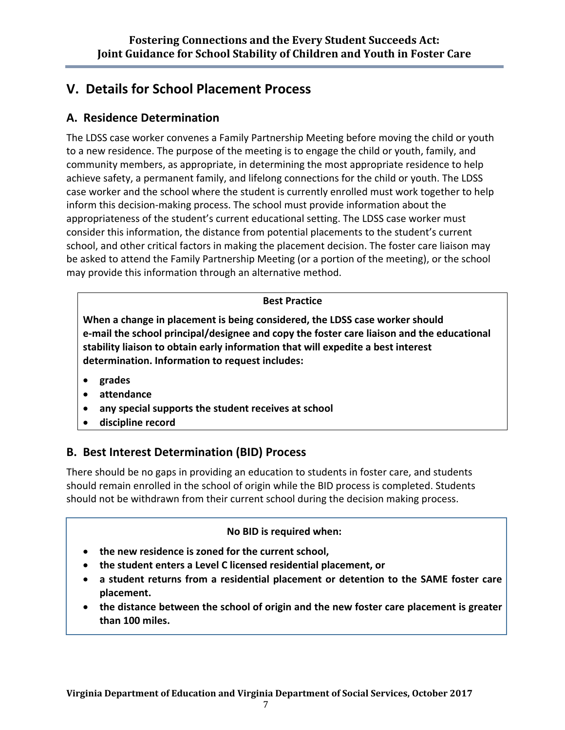# **V. Details for School Placement Process**

# **A. Residence Determination**

The LDSS case worker convenes a Family Partnership Meeting before moving the child or youth to a new residence. The purpose of the meeting is to engage the child or youth, family, and community members, as appropriate, in determining the most appropriate residence to help achieve safety, a permanent family, and lifelong connections for the child or youth. The LDSS case worker and the school where the student is currently enrolled must work together to help inform this decision-making process. The school must provide information about the appropriateness of the student's current educational setting. The LDSS case worker must consider this information, the distance from potential placements to the student's current school, and other critical factors in making the placement decision. The foster care liaison may be asked to attend the Family Partnership Meeting (or a portion of the meeting), or the school may provide this information through an alternative method.

## **Best Practice**

**When a change in placement is being considered, the LDSS case worker should e-mail the school principal/designee and copy the foster care liaison and the educational stability liaison to obtain early information that will expedite a best interest determination. Information to request includes:**

- **grades**
- **attendance**
- **any special supports the student receives at school**
- **discipline record**

# **B. Best Interest Determination (BID) Process**

There should be no gaps in providing an education to students in foster care, and students should remain enrolled in the school of origin while the BID process is completed. Students should not be withdrawn from their current school during the decision making process.

## **No BID is required when:**

- **the new residence is zoned for the current school,**
- **the student enters a Level C licensed residential placement, or**
- **a student returns from a residential placement or detention to the SAME foster care placement.**
- **the distance between the school of origin and the new foster care placement is greater than 100 miles.**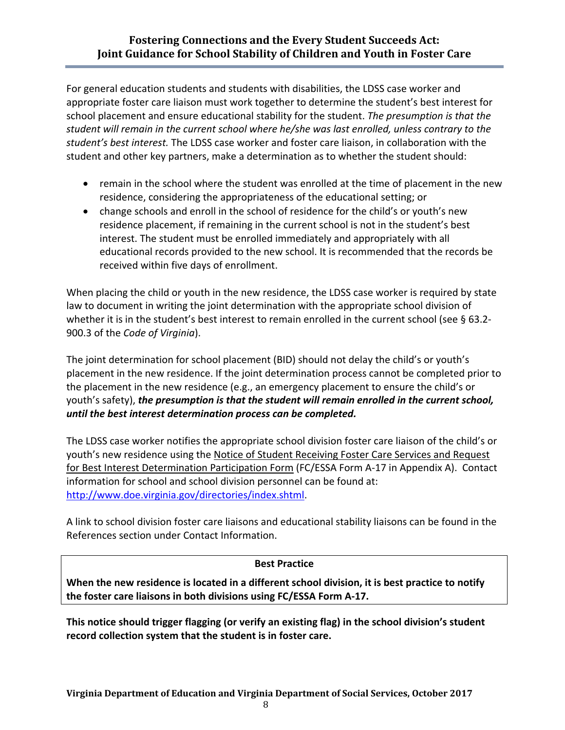For general education students and students with disabilities, the LDSS case worker and appropriate foster care liaison must work together to determine the student's best interest for school placement and ensure educational stability for the student. *The presumption is that the student will remain in the current school where he/she was last enrolled, unless contrary to the student's best interest.* The LDSS case worker and foster care liaison, in collaboration with the student and other key partners, make a determination as to whether the student should:

- remain in the school where the student was enrolled at the time of placement in the new residence, considering the appropriateness of the educational setting; or
- change schools and enroll in the school of residence for the child's or youth's new residence placement, if remaining in the current school is not in the student's best interest. The student must be enrolled immediately and appropriately with all educational records provided to the new school. It is recommended that the records be received within five days of enrollment.

When placing the child or youth in the new residence, the LDSS case worker is required by state law to document in writing the joint determination with the appropriate school division of whether it is in the student's best interest to remain enrolled in the current school (see § 63[.2-](http://leg1.state.va.us/cgi-bin/legp504.exe?000+cod+22.1-3.4) 900.3 of the *[Code of Virginia](http://leg1.state.va.us/cgi-bin/legp504.exe?000+cod+22.1-3.4)*).

The joint determination for school placement (BID) should not delay the child's or youth's placement in the new residence. If the joint determination process cannot be completed prior to the placement in the new residence (e.g., an emergency placement to ensure the child's or youth's safety), *the presumption is that the student will remain enrolled in the current school, until the best interest determination process can be completed.*

The LDSS case worker notifies the appropriate school division foster care liaison of the child's or youth's new residence using the Notice of Student Receiving Foster Care Services and Request for Best Interest Determination Participation Form (FC/ESSA Form A-17 in Appendix A).Contact information for school and school division personnel can be found at: [http://www.doe.virginia.gov/directories/index.shtml.](http://www.doe.virginia.gov/directories/index.shtml)

A link to school division foster care liaisons and educational stability liaisons can be found in the References section under Contact Information.

## **Best Practice**

**When the new residence is located in a different school division, it is best practice to notify the foster care liaisons in both divisions using FC/ESSA Form A-17.**

**This notice should trigger flagging (or verify an existing flag) in the school division's student record collection system that the student is in foster care.**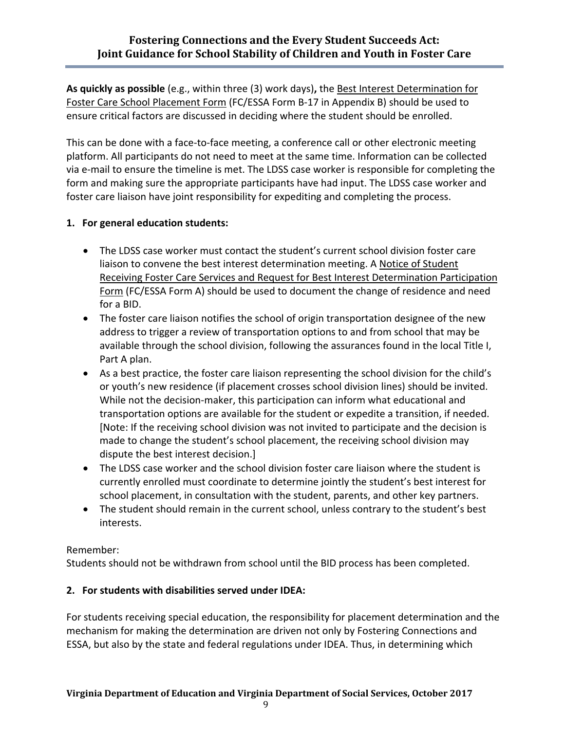**As quickly as possible** (e.g., within three (3) work days)**,** the Best Interest Determination for Foster Care School Placement Form (FC/ESSA Form B-17 in Appendix B) should be used to ensure critical factors are discussed in deciding where the student should be enrolled.

This can be done with a face-to-face meeting, a conference call or other electronic meeting platform. All participants do not need to meet at the same time. Information can be collected via e-mail to ensure the timeline is met. The LDSS case worker is responsible for completing the form and making sure the appropriate participants have had input. The LDSS case worker and foster care liaison have joint responsibility for expediting and completing the process.

# **1. For general education students:**

- The LDSS case worker must contact the student's current school division foster care liaison to convene the best interest determination meeting. A Notice of Student Receiving Foster Care Services and Request for Best Interest Determination Participation Form (FC/ESSA Form A) should be used to document the change of residence and need for a BID.
- The foster care liaison notifies the school of origin transportation designee of the new address to trigger a review of transportation options to and from school that may be available through the school division, following the assurances found in the local Title I, Part A plan.
- As a best practice, the foster care liaison representing the school division for the child's or youth's new residence (if placement crosses school division lines) should be invited. While not the decision-maker, this participation can inform what educational and transportation options are available for the student or expedite a transition, if needed. [Note: If the receiving school division was not invited to participate and the decision is made to change the student's school placement, the receiving school division may dispute the best interest decision.]
- The LDSS case worker and the school division foster care liaison where the student is currently enrolled must coordinate to determine jointly the student's best interest for school placement, in consultation with the student, parents, and other key partners.
- The student should remain in the current school, unless contrary to the student's best interests.

## Remember:

Students should not be withdrawn from school until the BID process has been completed.

# **2. For students with disabilities served under IDEA:**

For students receiving special education, the responsibility for placement determination and the mechanism for making the determination are driven not only by Fostering Connections and ESSA, but also by the state and federal regulations under IDEA. Thus, in determining which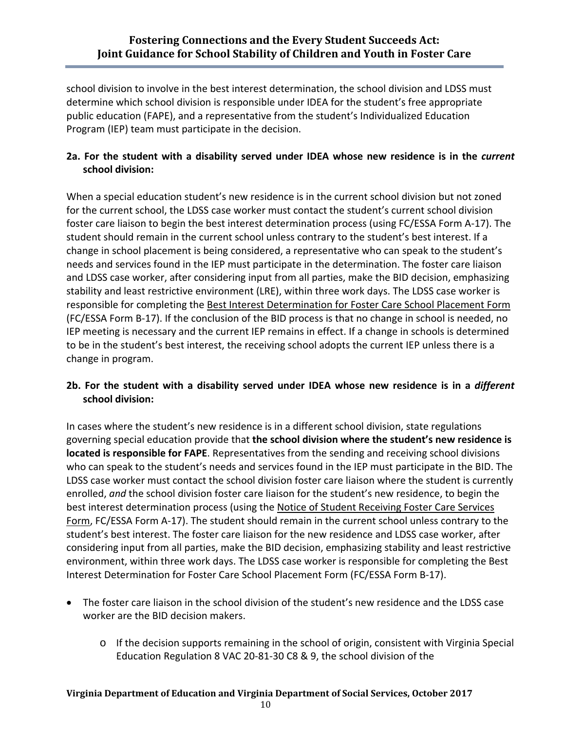school division to involve in the best interest determination, the school division and LDSS must determine which school division is responsible under IDEA for the student's free appropriate public education (FAPE), and a representative from the student's Individualized Education Program (IEP) team must participate in the decision.

# **2a. For the student with a disability served under IDEA whose new residence is in the** *current* **school division:**

When a special education student's new residence is in the current school division but not zoned for the current school, the LDSS case worker must contact the student's current school division foster care liaison to begin the best interest determination process (using FC/ESSA Form A-17). The student should remain in the current school unless contrary to the student's best interest. If a change in school placement is being considered, a representative who can speak to the student's needs and services found in the IEP must participate in the determination. The foster care liaison and LDSS case worker, after considering input from all parties, make the BID decision, emphasizing stability and least restrictive environment (LRE), within three work days. The LDSS case worker is responsible for completing the Best Interest Determination for Foster Care School Placement Form (FC/ESSA Form B-17). If the conclusion of the BID process is that no change in school is needed, no IEP meeting is necessary and the current IEP remains in effect. If a change in schools is determined to be in the student's best interest, the receiving school adopts the current IEP unless there is a change in program.

## **2b. For the student with a disability served under IDEA whose new residence is in a** *different* **school division:**

In cases where the student's new residence is in a different school division, state regulations governing special education provide that **the school division where the student's new residence is located is responsible for FAPE**. Representatives from the sending and receiving school divisions who can speak to the student's needs and services found in the IEP must participate in the BID. The LDSS case worker must contact the school division foster care liaison where the student is currently enrolled, *and* the school division foster care liaison for the student's new residence, to begin the best interest determination process (using the Notice of Student Receiving Foster Care Services Form, FC/ESSA Form A-17). The student should remain in the current school unless contrary to the student's best interest. The foster care liaison for the new residence and LDSS case worker, after considering input from all parties, make the BID decision, emphasizing stability and least restrictive environment, within three work days. The LDSS case worker is responsible for completing the Best Interest Determination for Foster Care School Placement Form (FC/ESSA Form B-17).

- The foster care liaison in the school division of the student's new residence and the LDSS case worker are the BID decision makers.
	- o If the decision supports remaining in the school of origin, consistent with Virginia Special Education Regulation 8 VAC 20-81-30 C8 & 9, the school division of the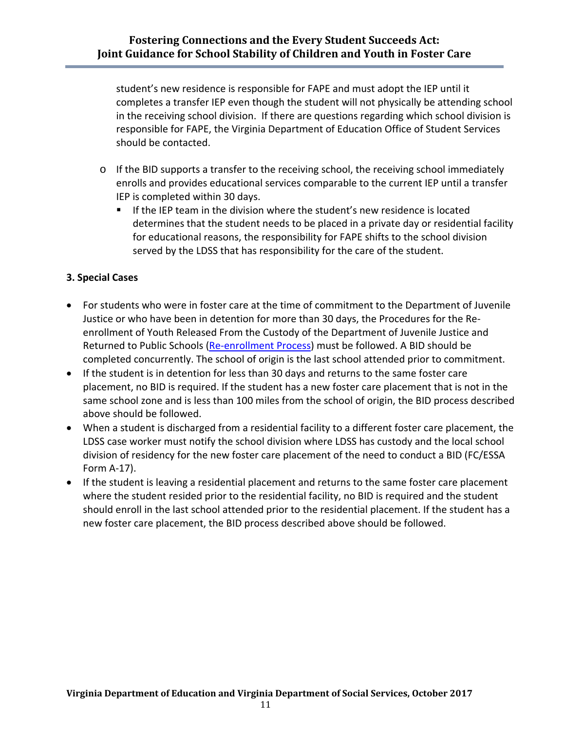student's new residence is responsible for FAPE and must adopt the IEP until it completes a transfer IEP even though the student will not physically be attending school in the receiving school division. If there are questions regarding which school division is responsible for FAPE, the Virginia Department of Education Office of Student Services should be contacted.

- o If the BID supports a transfer to the receiving school, the receiving school immediately enrolls and provides educational services comparable to the current IEP until a transfer IEP is completed within 30 days.
	- If the IEP team in the division where the student's new residence is located determines that the student needs to be placed in a private day or residential facility for educational reasons, the responsibility for FAPE shifts to the school division served by the LDSS that has responsibility for the care of the student.

## **3. Special Cases**

- For students who were in foster care at the time of commitment to the Department of Juvenile Justice or who have been in detention for more than 30 days, the Procedures for the Reenrollment of Youth Released From the Custody of the Department of Juvenile Justice and Returned to Public Schools [\(Re-enrollment Process\)](http://www.doe.virginia.gov/support/student_family/re-enrollment/procedures_released_custody.pdf) must be followed. A BID should be completed concurrently. The school of origin is the last school attended prior to commitment.
- If the student is in detention for less than 30 days and returns to the same foster care placement, no BID is required. If the student has a new foster care placement that is not in the same school zone and is less than 100 miles from the school of origin, the BID process described above should be followed.
- When a student is discharged from a residential facility to a different foster care placement, the LDSS case worker must notify the school division where LDSS has custody and the local school division of residency for the new foster care placement of the need to conduct a BID (FC/ESSA Form A-17).
- If the student is leaving a residential placement and returns to the same foster care placement where the student resided prior to the residential facility, no BID is required and the student should enroll in the last school attended prior to the residential placement. If the student has a new foster care placement, the BID process described above should be followed.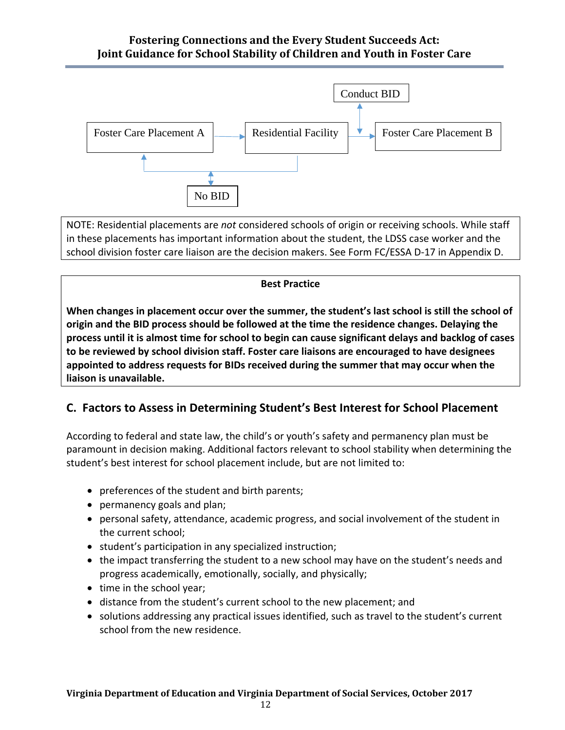## **Fostering Connections and the Every Student Succeeds Act: Joint Guidance for School Stability of Children and Youth in Foster Care**



NOTE: Residential placements are *not* considered schools of origin or receiving schools. While staff in these placements has important information about the student, the LDSS case worker and the school division foster care liaison are the decision makers. See Form FC/ESSA D-17 in Appendix D.

#### **Best Practice**

**When changes in placement occur over the summer, the student's last school is still the school of origin and the BID process should be followed at the time the residence changes. Delaying the process until it is almost time for school to begin can cause significant delays and backlog of cases to be reviewed by school division staff. Foster care liaisons are encouraged to have designees appointed to address requests for BIDs received during the summer that may occur when the liaison is unavailable.**

# **C. Factors to Assess in Determining Student's Best Interest for School Placement**

According to federal and state law, the child's or youth's safety and permanency plan must be paramount in decision making. Additional factors relevant to school stability when determining the student's best interest for school placement include, but are not limited to:

- preferences of the student and birth parents;
- permanency goals and plan;
- personal safety, attendance, academic progress, and social involvement of the student in the current school;
- student's participation in any specialized instruction;
- the impact transferring the student to a new school may have on the student's needs and progress academically, emotionally, socially, and physically;
- time in the school year;
- distance from the student's current school to the new placement; and
- solutions addressing any practical issues identified, such as travel to the student's current school from the new residence.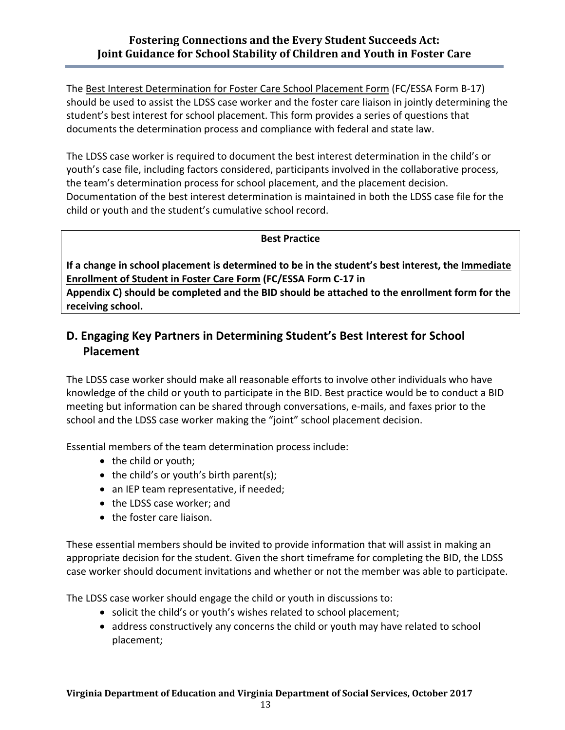The Best Interest Determination for Foster Care School Placement Form (FC/ESSA Form B-17) should be used to assist the LDSS case worker and the foster care liaison in jointly determining the student's best interest for school placement. This form provides a series of questions that documents the determination process and compliance with federal and state law.

The LDSS case worker is required to document the best interest determination in the child's or youth's case file, including factors considered, participants involved in the collaborative process, the team's determination process for school placement, and the placement decision. Documentation of the best interest determination is maintained in both the LDSS case file for the child or youth and the student's cumulative school record.

#### **Best Practice**

**If a change in school placement is determined to be in the student's best interest, the Immediate Enrollment of Student in Foster Care Form (FC/ESSA Form C-17 in** 

**Appendix C) should be completed and the BID should be attached to the enrollment form for the receiving school.** 

# **D. Engaging Key Partners in Determining Student's Best Interest for School Placement**

The LDSS case worker should make all reasonable efforts to involve other individuals who have knowledge of the child or youth to participate in the BID. Best practice would be to conduct a BID meeting but information can be shared through conversations, e-mails, and faxes prior to the school and the LDSS case worker making the "joint" school placement decision.

Essential members of the team determination process include:

- the child or youth;
- the child's or youth's birth parent(s);
- an IEP team representative, if needed;
- the LDSS case worker; and
- the foster care liaison.

These essential members should be invited to provide information that will assist in making an appropriate decision for the student. Given the short timeframe for completing the BID, the LDSS case worker should document invitations and whether or not the member was able to participate.

The LDSS case worker should engage the child or youth in discussions to:

- solicit the child's or youth's wishes related to school placement;
- address constructively any concerns the child or youth may have related to school placement;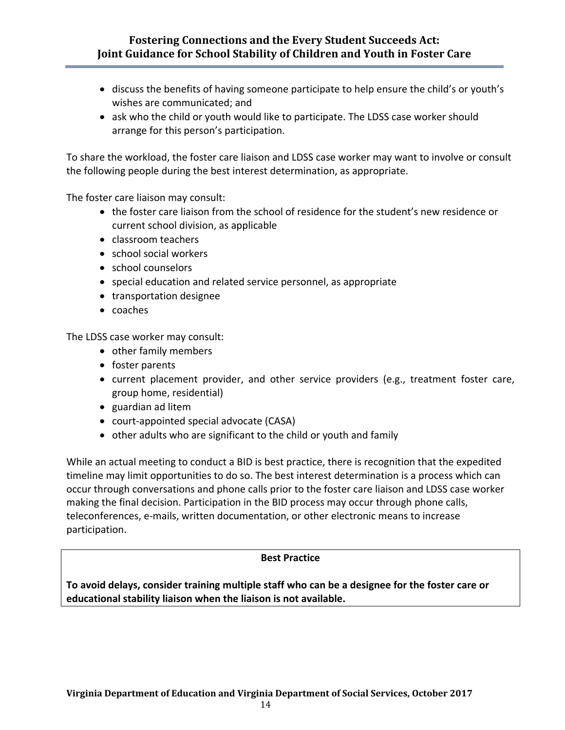## **Fostering Connections and the Every Student Succeeds Act: Joint Guidance for School Stability of Children and Youth in Foster Care**

- discuss the benefits of having someone participate to help ensure the child's or youth's wishes are communicated; and
- ask who the child or youth would like to participate. The LDSS case worker should arrange for this person's participation.

To share the workload, the foster care liaison and LDSS case worker may want to involve or consult the following people during the best interest determination, as appropriate.

The foster care liaison may consult:

- the foster care liaison from the school of residence for the student's new residence or current school division, as applicable
- classroom teachers
- school social workers
- school counselors
- special education and related service personnel, as appropriate
- transportation designee
- coaches

The LDSS case worker may consult:

- other family members
- foster parents
- current placement provider, and other service providers (e.g., treatment foster care, group home, residential)
- guardian ad litem
- court-appointed special advocate (CASA)
- other adults who are significant to the child or youth and family

While an actual meeting to conduct a BID is best practice, there is recognition that the expedited timeline may limit opportunities to do so. The best interest determination is a process which can occur through conversations and phone calls prior to the foster care liaison and LDSS case worker making the final decision. Participation in the BID process may occur through phone calls, teleconferences, e-mails, written documentation, or other electronic means to increase participation.

#### **Best Practice**

**To avoid delays, consider training multiple staff who can be a designee for the foster care or educational stability liaison when the liaison is not available.**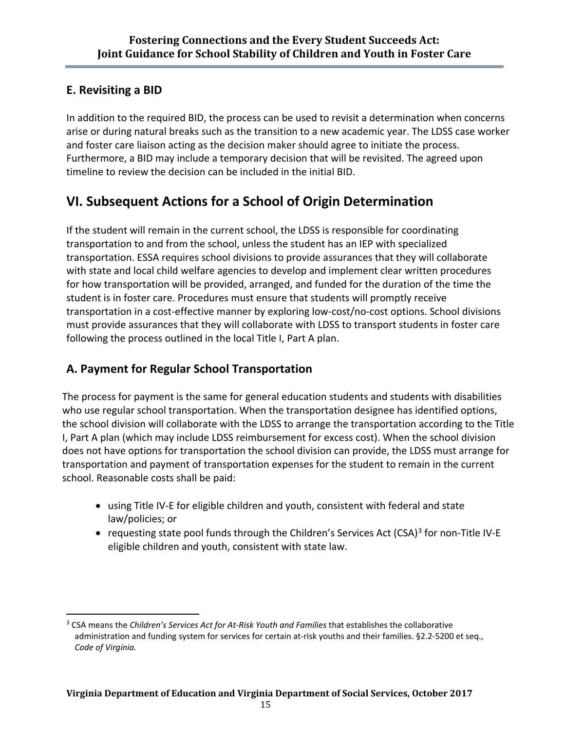# **E. Revisiting a BID**

In addition to the required BID, the process can be used to revisit a determination when concerns arise or during natural breaks such as the transition to a new academic year. The LDSS case worker and foster care liaison acting as the decision maker should agree to initiate the process. Furthermore, a BID may include a temporary decision that will be revisited. The agreed upon timeline to review the decision can be included in the initial BID.

# **VI. Subsequent Actions for a School of Origin Determination**

If the student will remain in the current school, the LDSS is responsible for coordinating transportation to and from the school, unless the student has an IEP with specialized transportation. ESSA requires school divisions to provide assurances that they will collaborate with state and local child welfare agencies to develop and implement clear written procedures for how transportation will be provided, arranged, and funded for the duration of the time the student is in foster care. Procedures must ensure that students will promptly receive transportation in a cost-effective manner by exploring low-cost/no-cost options. School divisions must provide assurances that they will collaborate with LDSS to transport students in foster care following the process outlined in the local Title I, Part A plan.

# **A. Payment for Regular School Transportation**

The process for payment is the same for general education students and students with disabilities who use regular school transportation. When the transportation designee has identified options, the school division will collaborate with the LDSS to arrange the transportation according to the Title I, Part A plan (which may include LDSS reimbursement for excess cost). When the school division does not have options for transportation the school division can provide, the LDSS must arrange for transportation and payment of transportation expenses for the student to remain in the current school. Reasonable costs shall be paid:

- using Title IV-E for eligible children and youth, consistent with federal and state law/policies; or
- requesting state pool funds through the Children's Services Act (CSA)<sup>[3](#page-16-0)</sup> for non-Title IV-E eligible children and youth, consistent with state law.

<span id="page-16-0"></span> $\overline{a}$ <sup>3</sup> CSA means the *Children's Services Act for At-Risk Youth and Families* that establishes the collaborative administration and funding system for services for certain at-risk youths and their families. §2.2-5200 et seq., *Code of Virginia.*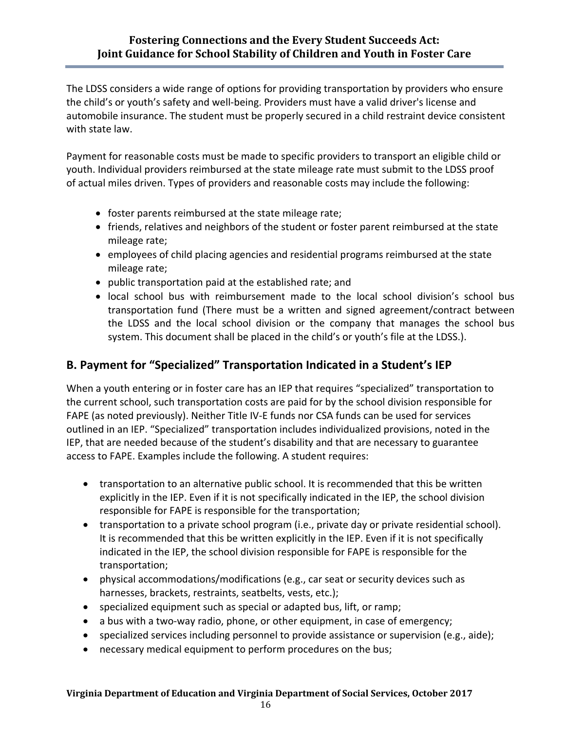The LDSS considers a wide range of options for providing transportation by providers who ensure the child's or youth's safety and well-being. Providers must have a valid driver's license and automobile insurance. The student must be properly secured in a child restraint device consistent with state law.

Payment for reasonable costs must be made to specific providers to transport an eligible child or youth. Individual providers reimbursed at the state mileage rate must submit to the LDSS proof of actual miles driven. Types of providers and reasonable costs may include the following:

- foster parents reimbursed at the state mileage rate;
- friends, relatives and neighbors of the student or foster parent reimbursed at the state mileage rate;
- employees of child placing agencies and residential programs reimbursed at the state mileage rate;
- public transportation paid at the established rate; and
- local school bus with reimbursement made to the local school division's school bus transportation fund (There must be a written and signed agreement/contract between the LDSS and the local school division or the company that manages the school bus system. This document shall be placed in the child's or youth's file at the LDSS.).

# **B. Payment for "Specialized" Transportation Indicated in a Student's IEP**

When a youth entering or in foster care has an IEP that requires "specialized" transportation to the current school, such transportation costs are paid for by the school division responsible for FAPE (as noted previously). Neither Title IV-E funds nor CSA funds can be used for services outlined in an IEP. "Specialized" transportation includes individualized provisions, noted in the IEP, that are needed because of the student's disability and that are necessary to guarantee access to FAPE. Examples include the following. A student requires:

- transportation to an alternative public school. It is recommended that this be written explicitly in the IEP. Even if it is not specifically indicated in the IEP, the school division responsible for FAPE is responsible for the transportation;
- transportation to a private school program (i.e., private day or private residential school). It is recommended that this be written explicitly in the IEP. Even if it is not specifically indicated in the IEP, the school division responsible for FAPE is responsible for the transportation;
- physical accommodations/modifications (e.g., car seat or security devices such as harnesses, brackets, restraints, seatbelts, vests, etc.);
- specialized equipment such as special or adapted bus, lift, or ramp;
- a bus with a two-way radio, phone, or other equipment, in case of emergency;
- specialized services including personnel to provide assistance or supervision (e.g., aide);
- necessary medical equipment to perform procedures on the bus;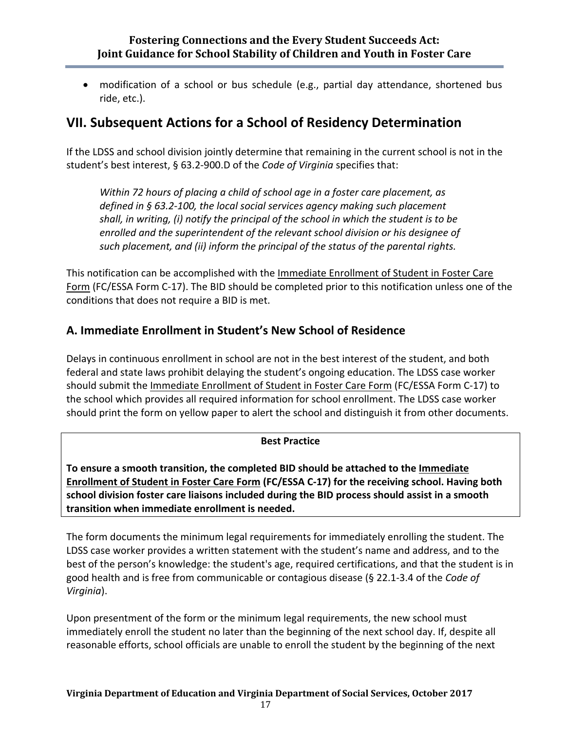• modification of a school or bus schedule (e.g., partial day attendance, shortened bus ride, etc.).

# **VII. Subsequent Actions for a School of Residency Determination**

If the LDSS and school division jointly determine that remaining in the current school is not in the student's best interest, § 63.2-900.D of the *Code of Virginia* specifies that:

*Within 72 hours of placing a child of school age in a foster care placement, as defined in § [63.2-100,](http://leg1.state.va.us/cgi-bin/legp504.exe?000+cod+63.2-100) the local social services agency making such placement shall, in writing, (i) notify the principal of the school in which the student is to be enrolled and the superintendent of the relevant school division or his designee of such placement, and (ii) inform the principal of the status of the parental rights.*

This notification can be accomplished with the Immediate Enrollment of Student in Foster Care Form (FC/ESSA Form C-17). The BID should be completed prior to this notification unless one of the conditions that does not require a BID is met.

# **A. Immediate Enrollment in Student's New School of Residence**

Delays in continuous enrollment in school are not in the best interest of the student, and both federal and state laws prohibit delaying the student's ongoing education. The LDSS case worker should submit the Immediate Enrollment of Student in Foster Care Form (FC/ESSA Form C-17) to the school which provides all required information for school enrollment. The LDSS case worker should print the form on yellow paper to alert the school and distinguish it from other documents.

## **Best Practice**

**To ensure a smooth transition, the completed BID should be attached to the Immediate Enrollment of Student in Foster Care Form (FC/ESSA C-17) for the receiving school. Having both school division foster care liaisons included during the BID process should assist in a smooth transition when immediate enrollment is needed.**

The form documents the minimum legal requirements for immediately enrolling the student. The LDSS case worker provides a written statement with the student's name and address, and to the best of the person's knowledge: the student's age, required certifications, and that the student is in good health and is free from communicable or contagious disease (§ [22.1-3.4](http://leg1.state.va.us/cgi-bin/legp504.exe?000+cod+22.1-3.4) of the *Code of Virginia*).

Upon presentment of the form or the minimum legal requirements, the new school must immediately enroll the student no later than the beginning of the next school day. If, despite all reasonable efforts, school officials are unable to enroll the student by the beginning of the next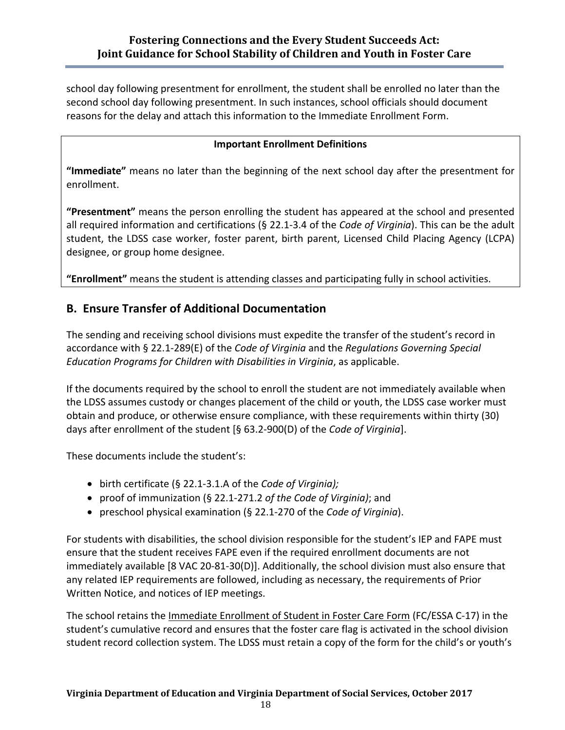school day following presentment for enrollment, the student shall be enrolled no later than the second school day following presentment. In such instances, school officials should document reasons for the delay and attach this information to the Immediate Enrollment Form.

## **Important Enrollment Definitions**

**"Immediate"** means no later than the beginning of the next school day after the presentment for enrollment.

**"Presentment"** means the person enrolling the student has appeared at the school and presented all required information and certifications (§ [22.1-3.4](http://leg1.state.va.us/cgi-bin/legp504.exe?000+cod+22.1-3.4) of the *Code of Virginia*). This can be the adult student, the LDSS case worker, foster parent, birth parent, Licensed Child Placing Agency (LCPA) designee, or group home designee.

**"Enrollment"** means the student is attending classes and participating fully in school activities.

# **B. Ensure Transfer of Additional Documentation**

The sending and receiving school divisions must expedite the transfer of the student's record in accordance with § [22.1-289\(](http://leg1.state.va.us/cgi-bin/legp504.exe?000+cod+22.1-289)E) of the *Code of Virginia* and the *Regulations Governing Special Education Programs for Children with Disabilities in Virginia*, as applicable.

If the documents required by the school to enroll the student are not immediately available when the LDSS assumes custody or changes placement of the child or youth, the LDSS case worker must obtain and produce, or otherwise ensure compliance, with these requirements within thirty (30) days after enrollment of the student [§ [63.2-900\(D\)](http://leg1.state.va.us/cgi-bin/legp504.exe?000+cod+63.2-900) of the *Code of Virginia*].

These documents include the student's:

- birth certificate (§ [22.1-3.1.A](http://leg1.state.va.us/cgi-bin/legp504.exe?000+cod+22.1-3.1) of the *Code of Virginia);*
- proof of immunization (§ [22.1-271.2](http://leg1.state.va.us/cgi-bin/legp504.exe?000+cod+22.1-271.2) *of the Code of Virginia)*; and
- preschool physical examination (§ [22.1-270](http://leg1.state.va.us/cgi-bin/legp504.exe?000+cod+22.1-270) of the *Code of Virginia*).

For students with disabilities, the school division responsible for the student's IEP and FAPE must ensure that the student receives FAPE even if the required enrollment documents are not immediately available [8 VAC 20-81-30(D)]. Additionally, the school division must also ensure that any related IEP requirements are followed, including as necessary, the requirements of Prior Written Notice, and notices of IEP meetings.

The school retains the Immediate Enrollment of Student in Foster Care Form (FC/ESSA C-17) in the student's cumulative record and ensures that the foster care flag is activated in the school division student record collection system. The LDSS must retain a copy of the form for the child's or youth's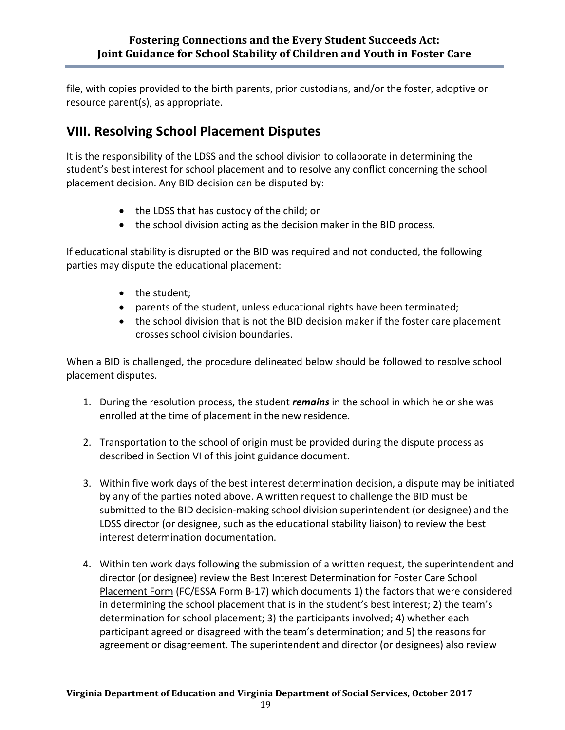file, with copies provided to the birth parents, prior custodians, and/or the foster, adoptive or resource parent(s), as appropriate.

# **VIII. Resolving School Placement Disputes**

It is the responsibility of the LDSS and the school division to collaborate in determining the student's best interest for school placement and to resolve any conflict concerning the school placement decision. Any BID decision can be disputed by:

- the LDSS that has custody of the child; or
- the school division acting as the decision maker in the BID process.

If educational stability is disrupted or the BID was required and not conducted, the following parties may dispute the educational placement:

- the student;
- parents of the student, unless educational rights have been terminated;
- the school division that is not the BID decision maker if the foster care placement crosses school division boundaries.

When a BID is challenged, the procedure delineated below should be followed to resolve school placement disputes.

- 1. During the resolution process, the student *remains* in the school in which he or she was enrolled at the time of placement in the new residence.
- 2. Transportation to the school of origin must be provided during the dispute process as described in Section VI of this joint guidance document.
- 3. Within five work days of the best interest determination decision, a dispute may be initiated by any of the parties noted above. A written request to challenge the BID must be submitted to the BID decision-making school division superintendent (or designee) and the LDSS director (or designee, such as the educational stability liaison) to review the best interest determination documentation.
- 4. Within ten work days following the submission of a written request, the superintendent and director (or designee) review the Best Interest Determination for Foster Care School Placement Form (FC/ESSA Form B-17) which documents 1) the factors that were considered in determining the school placement that is in the student's best interest; 2) the team's determination for school placement; 3) the participants involved; 4) whether each participant agreed or disagreed with the team's determination; and 5) the reasons for agreement or disagreement. The superintendent and director (or designees) also review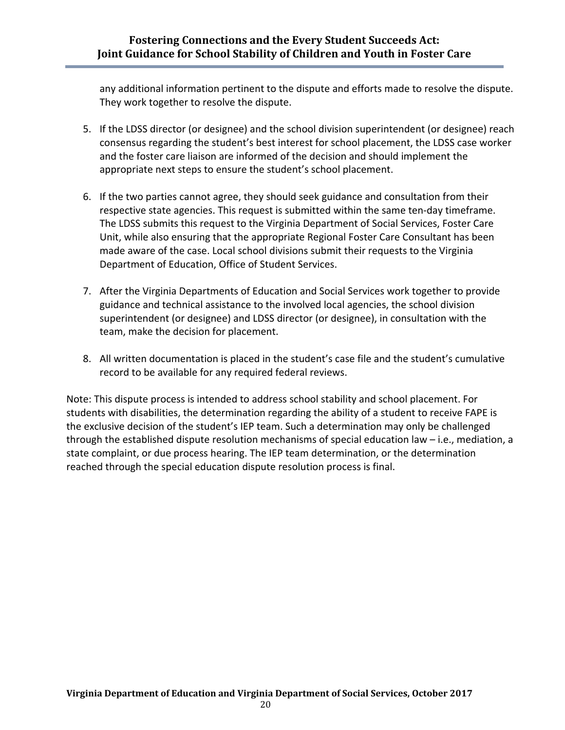any additional information pertinent to the dispute and efforts made to resolve the dispute. They work together to resolve the dispute.

- 5. If the LDSS director (or designee) and the school division superintendent (or designee) reach consensus regarding the student's best interest for school placement, the LDSS case worker and the foster care liaison are informed of the decision and should implement the appropriate next steps to ensure the student's school placement.
- 6. If the two parties cannot agree, they should seek guidance and consultation from their respective state agencies. This request is submitted within the same ten-day timeframe. The LDSS submits this request to the Virginia Department of Social Services, Foster Care Unit, while also ensuring that the appropriate Regional Foster Care Consultant has been made aware of the case. Local school divisions submit their requests to the Virginia Department of Education, Office of Student Services.
- 7. After the Virginia Departments of Education and Social Services work together to provide guidance and technical assistance to the involved local agencies, the school division superintendent (or designee) and LDSS director (or designee), in consultation with the team, make the decision for placement.
- 8. All written documentation is placed in the student's case file and the student's cumulative record to be available for any required federal reviews.

Note: This dispute process is intended to address school stability and school placement. For students with disabilities, the determination regarding the ability of a student to receive FAPE is the exclusive decision of the student's IEP team. Such a determination may only be challenged through the established dispute resolution mechanisms of special education law – i.e., mediation, a state complaint, or due process hearing. The IEP team determination, or the determination reached through the special education dispute resolution process is final.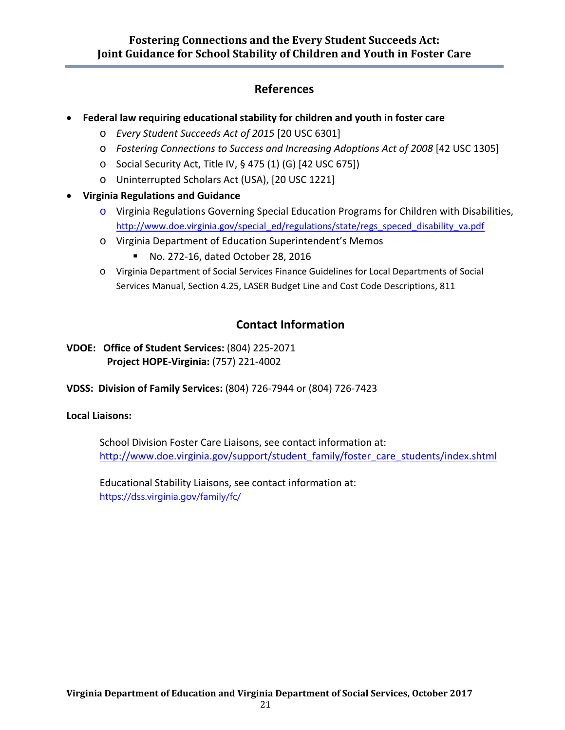# **References**

- **Federal law requiring educational stability for children and youth in foster care**
	- o *Every Student Succeeds Act of 2015* [20 USC 6301]
	- o *[Fostering Connections to Success and Increasing Adoptions Act of 2008](http://www.fosteringconnections.org/tools/assets/files/Public_Law_110-351.pdf)* [42 USC 1305]
	- $\circ$  [Social Security Act, Title IV, § 475 \(1\) \(G\) \[42 USC 675\]\)](http://www.ssa.gov/OP_Home/ssact/title04/0475.htm)
	- o Uninterrupted Scholars Act (USA), [20 USC 1221]
- **Virginia Regulations and Guidance**
	- $\circ$  Virginia Regulations Governing Special Education Programs for Children with Disabilities, [http://www.doe.virginia.gov/special\\_ed/regulations/state/regs\\_speced\\_disability\\_va.pdf](http://www.doe.virginia.gov/special_ed/regulations/state/regs_speced_disability_va.pdf)
	- o Virginia Department of Education Superintendent's Memos
		- [No. 272-16, dated October 28, 2016](http://www.doe.virginia.gov/administrators/superintendents_memos/2016/272-16.shtml)
	- o Virginia Department of Social Services Finance Guidelines for Local Departments of Social Services Manual, Section 4.25, LASER Budget Line and Cost Code Descriptions, 811

# **Contact Information**

- **VDOE: Office of Student Services:** (804) 225-2071 **Project HOPE-Virginia:** (757) 221-4002
- **VDSS: Division of Family Services:** (804) 726-7944 or (804) 726-7423

## **Local Liaisons:**

School Division Foster Care Liaisons, see contact information at: [http://www.doe.virginia.gov/support/student\\_family/foster\\_care\\_students/index.shtml](http://www.doe.virginia.gov/support/student_family/foster_care_students/index.shtml)

Educational Stability Liaisons, see contact information at: <https://dss.virginia.gov/family/fc/>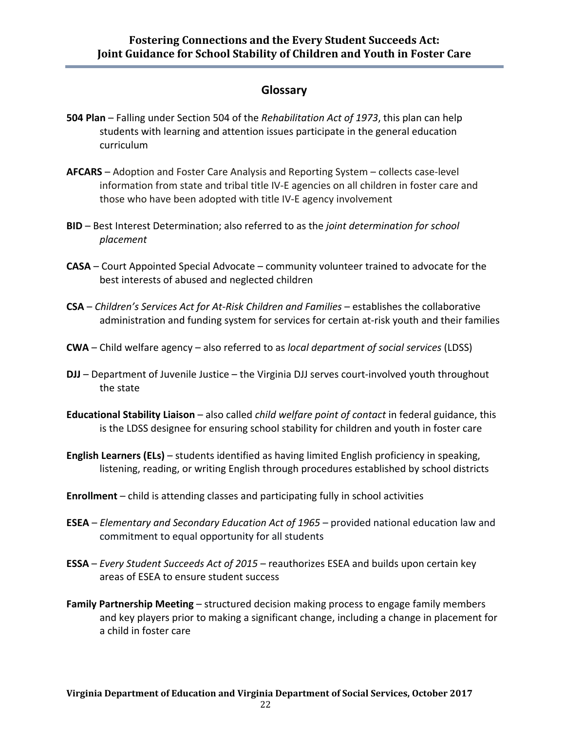## **Glossary**

- **504 Plan** Falling under Section 504 of the *Rehabilitation Act of 1973*, this plan can help students with learning and attention issues participate in the general education curriculum
- **AFCARS** Adoption and Foster Care Analysis and Reporting System collects case-level information from state and tribal title IV-E agencies on all children in foster care and those who have been adopted with title IV-E agency involvement
- **BID** Best Interest Determination; also referred to as the *joint determination for school placement*
- **CASA** Court Appointed Special Advocate community volunteer trained to advocate for the best interests of abused and neglected children
- **CSA** *Children's Services Act for At-Risk Children and Families* establishes the collaborative administration and funding system for services for certain at-risk youth and their families
- **CWA** Child welfare agency also referred to as *local department of social services* (LDSS)
- **DJJ**  Department of Juvenile Justice the Virginia DJJ serves court-involved youth throughout the state
- **Educational Stability Liaison** also called *child welfare point of contact* in federal guidance, this is the LDSS designee for ensuring school stability for children and youth in foster care
- **English Learners (ELs)** students identified as having limited English proficiency in speaking, listening, reading, or writing English through procedures established by school districts
- **Enrollment** child is attending classes and participating fully in school activities
- **ESEA** *Elementary and Secondary Education Act of 1965*  provided national education law and commitment to equal opportunity for all students
- **ESSA**  *Every Student Succeeds Act of 2015* reauthorizes ESEA and builds upon certain key areas of ESEA to ensure student success
- **Family Partnership Meeting** structured decision making process to engage family members and key players prior to making a significant change, including a change in placement for a child in foster care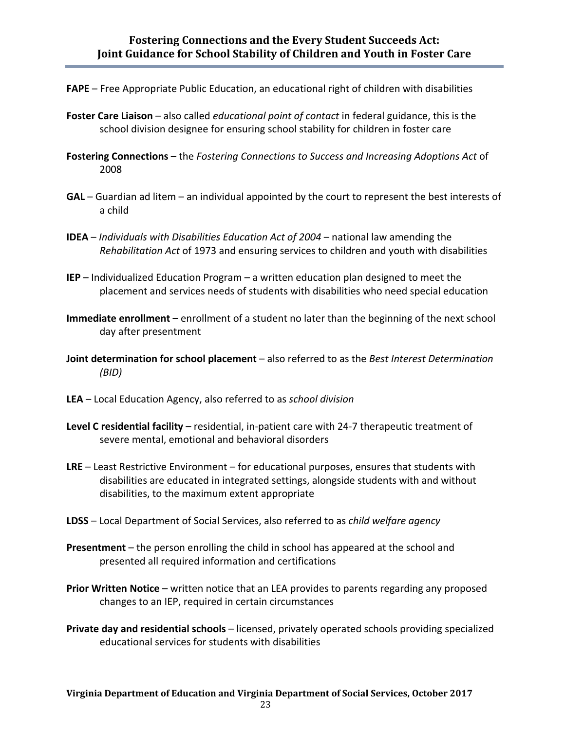- **FAPE** Free Appropriate Public Education, an educational right of children with disabilities
- **Foster Care Liaison** also called *educational point of contact* in federal guidance, this is the school division designee for ensuring school stability for children in foster care
- **Fostering Connections** the *Fostering Connections to Success and Increasing Adoptions Act* of 2008
- **GAL** Guardian ad litem an individual appointed by the court to represent the best interests of a child
- **IDEA** *Individuals with Disabilities Education Act of 2004* national law amending the *Rehabilitation Act* of 1973 and ensuring services to children and youth with disabilities
- **IEP** Individualized Education Program a written education plan designed to meet the placement and services needs of students with disabilities who need special education
- **Immediate enrollment** enrollment of a student no later than the beginning of the next school day after presentment
- **Joint determination for school placement** also referred to as the *Best Interest Determination (BID)*
- **LEA** Local Education Agency, also referred to as *school division*
- **Level C residential facility** residential, in-patient care with 24-7 therapeutic treatment of severe mental, emotional and behavioral disorders
- **LRE** Least Restrictive Environment for educational purposes, ensures that students with disabilities are educated in integrated settings, alongside students with and without disabilities, to the maximum extent appropriate
- **LDSS** Local Department of Social Services, also referred to as *child welfare agency*
- **Presentment** the person enrolling the child in school has appeared at the school and presented all required information and certifications
- **Prior Written Notice** written notice that an LEA provides to parents regarding any proposed changes to an IEP, required in certain circumstances
- **Private day and residential schools** licensed, privately operated schools providing specialized educational services for students with disabilities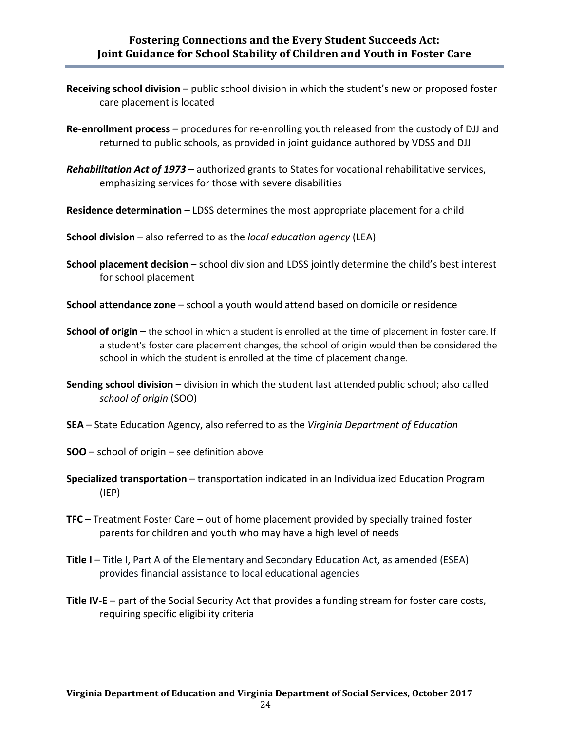## **Fostering Connections and the Every Student Succeeds Act: Joint Guidance for School Stability of Children and Youth in Foster Care**

- **Receiving school division** public school division in which the student's new or proposed foster care placement is located
- **Re-enrollment process**  procedures for re-enrolling youth released from the custody of DJJ and returned to public schools, as provided in joint guidance authored by VDSS and DJJ
- *Rehabilitation Act of 1973* authorized grants to States for vocational rehabilitative services, emphasizing services for those with severe disabilities
- **Residence determination** LDSS determines the most appropriate placement for a child
- **School division** also referred to as the *local education agency* (LEA)
- **School placement decision** school division and LDSS jointly determine the child's best interest for school placement
- **School attendance zone** school a youth would attend based on domicile or residence
- **School of origin** the school in which a student is enrolled at the time of placement in foster care. If a student's foster care placement changes, the school of origin would then be considered the school in which the student is enrolled at the time of placement change.
- **Sending school division** division in which the student last attended public school; also called *school of origin* (SOO)
- **SEA** State Education Agency, also referred to as the *Virginia Department of Education*
- **SOO** school of origin see definition above
- **Specialized transportation** transportation indicated in an Individualized Education Program (IEP)
- **TFC** Treatment Foster Care out of home placement provided by specially trained foster parents for children and youth who may have a high level of needs
- **Title I** Title I, Part A of the Elementary and Secondary Education Act, as amended (ESEA) provides financial assistance to local educational agencies
- **Title IV-E** part of the Social Security Act that provides a funding stream for foster care costs, requiring specific eligibility criteria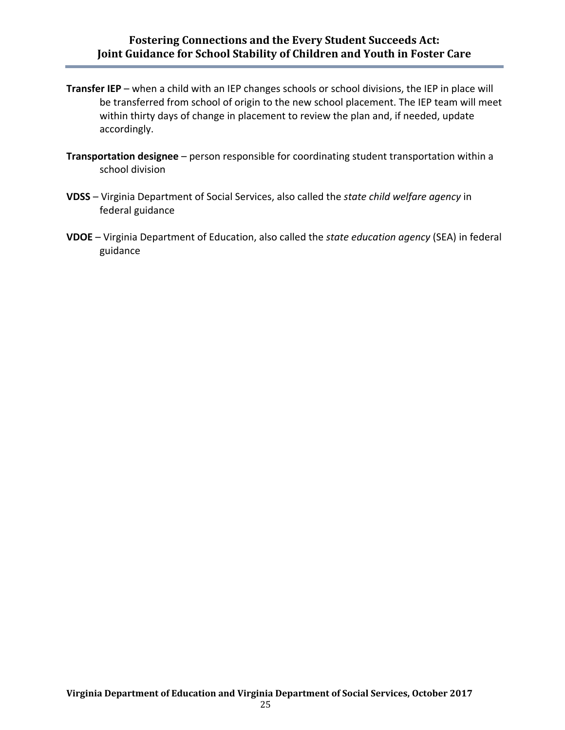## **Fostering Connections and the Every Student Succeeds Act: Joint Guidance for School Stability of Children and Youth in Foster Care**

- **Transfer IEP** when a child with an IEP changes schools or school divisions, the IEP in place will be transferred from school of origin to the new school placement. The IEP team will meet within thirty days of change in placement to review the plan and, if needed, update accordingly.
- **Transportation designee** person responsible for coordinating student transportation within a school division
- **VDSS** Virginia Department of Social Services, also called the *state child welfare agency* in federal guidance
- **VDOE** Virginia Department of Education, also called the *state education agency* (SEA) in federal guidance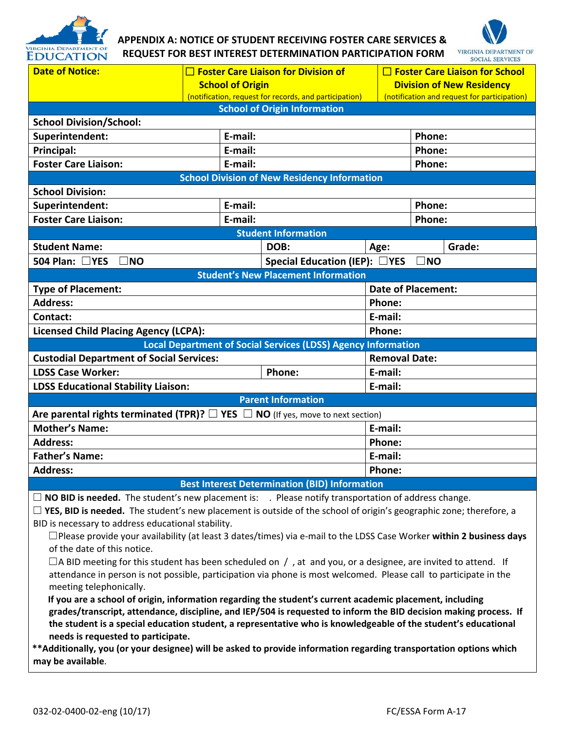

# **APPENDIX A: NOTICE OF STUDENT RECEIVING FOSTER CARE SERVICES & REQUEST FOR BEST INTEREST DETERMINATION PARTICIPATION FORM**



| <b>Date of Notice:</b>                                                                                                                                                                                                                   | $\square$ Foster Care Liaison for Division of                                     |                                                                      |                      | $\Box$ Foster Care Liaison for School                                            |  |  |
|------------------------------------------------------------------------------------------------------------------------------------------------------------------------------------------------------------------------------------------|-----------------------------------------------------------------------------------|----------------------------------------------------------------------|----------------------|----------------------------------------------------------------------------------|--|--|
|                                                                                                                                                                                                                                          | <b>School of Origin</b><br>(notification, request for records, and participation) |                                                                      |                      | <b>Division of New Residency</b><br>(notification and request for participation) |  |  |
|                                                                                                                                                                                                                                          |                                                                                   | <b>School of Origin Information</b>                                  |                      |                                                                                  |  |  |
| <b>School Division/School:</b>                                                                                                                                                                                                           |                                                                                   |                                                                      |                      |                                                                                  |  |  |
| Superintendent:                                                                                                                                                                                                                          | E-mail:                                                                           |                                                                      |                      | Phone:                                                                           |  |  |
| Principal:                                                                                                                                                                                                                               | E-mail:                                                                           |                                                                      |                      | Phone:                                                                           |  |  |
| <b>Foster Care Liaison:</b>                                                                                                                                                                                                              | E-mail:                                                                           |                                                                      |                      | Phone:                                                                           |  |  |
|                                                                                                                                                                                                                                          |                                                                                   | <b>School Division of New Residency Information</b>                  |                      |                                                                                  |  |  |
| <b>School Division:</b>                                                                                                                                                                                                                  |                                                                                   |                                                                      |                      |                                                                                  |  |  |
| Superintendent:                                                                                                                                                                                                                          | E-mail:                                                                           |                                                                      |                      | Phone:                                                                           |  |  |
| <b>Foster Care Liaison:</b>                                                                                                                                                                                                              | E-mail:                                                                           |                                                                      |                      | Phone:                                                                           |  |  |
|                                                                                                                                                                                                                                          |                                                                                   | <b>Student Information</b>                                           |                      |                                                                                  |  |  |
| <b>Student Name:</b>                                                                                                                                                                                                                     |                                                                                   | DOB:                                                                 | Age:                 | Grade:                                                                           |  |  |
| 504 Plan: □YES<br>$\square$ NO                                                                                                                                                                                                           |                                                                                   | Special Education (IEP): $\Box$ YES                                  |                      | $\square$ NO                                                                     |  |  |
|                                                                                                                                                                                                                                          |                                                                                   | <b>Student's New Placement Information</b>                           |                      |                                                                                  |  |  |
| <b>Type of Placement:</b>                                                                                                                                                                                                                |                                                                                   |                                                                      |                      | <b>Date of Placement:</b>                                                        |  |  |
| <b>Address:</b>                                                                                                                                                                                                                          |                                                                                   |                                                                      | Phone:               |                                                                                  |  |  |
| <b>Contact:</b>                                                                                                                                                                                                                          |                                                                                   |                                                                      | E-mail:              |                                                                                  |  |  |
| <b>Licensed Child Placing Agency (LCPA):</b>                                                                                                                                                                                             |                                                                                   |                                                                      | Phone:               |                                                                                  |  |  |
|                                                                                                                                                                                                                                          |                                                                                   | <b>Local Department of Social Services (LDSS) Agency Information</b> |                      |                                                                                  |  |  |
| <b>Custodial Department of Social Services:</b>                                                                                                                                                                                          |                                                                                   |                                                                      | <b>Removal Date:</b> |                                                                                  |  |  |
| <b>LDSS Case Worker:</b><br>Phone:                                                                                                                                                                                                       |                                                                                   | E-mail:                                                              |                      |                                                                                  |  |  |
| <b>LDSS Educational Stability Liaison:</b>                                                                                                                                                                                               |                                                                                   | E-mail:                                                              |                      |                                                                                  |  |  |
|                                                                                                                                                                                                                                          |                                                                                   | <b>Parent Information</b>                                            |                      |                                                                                  |  |  |
| Are parental rights terminated (TPR)? $\square$ YES $\square$ NO (If yes, move to next section)                                                                                                                                          |                                                                                   |                                                                      |                      |                                                                                  |  |  |
| <b>Mother's Name:</b>                                                                                                                                                                                                                    |                                                                                   |                                                                      | E-mail:              |                                                                                  |  |  |
| <b>Address:</b>                                                                                                                                                                                                                          |                                                                                   |                                                                      | Phone:               |                                                                                  |  |  |
| <b>Father's Name:</b>                                                                                                                                                                                                                    |                                                                                   | E-mail:                                                              |                      |                                                                                  |  |  |
| <b>Address:</b>                                                                                                                                                                                                                          |                                                                                   | Phone:                                                               |                      |                                                                                  |  |  |
| <b>Best Interest Determination (BID) Information</b>                                                                                                                                                                                     |                                                                                   |                                                                      |                      |                                                                                  |  |  |
| $\Box$ NO BID is needed. The student's new placement is: . Please notify transportation of address change.                                                                                                                               |                                                                                   |                                                                      |                      |                                                                                  |  |  |
| $\Box$ YES, BID is needed. The student's new placement is outside of the school of origin's geographic zone; therefore, a                                                                                                                |                                                                                   |                                                                      |                      |                                                                                  |  |  |
| BID is necessary to address educational stability.                                                                                                                                                                                       |                                                                                   |                                                                      |                      |                                                                                  |  |  |
| $\Box$ Please provide your availability (at least 3 dates/times) via e-mail to the LDSS Case Worker within 2 business days                                                                                                               |                                                                                   |                                                                      |                      |                                                                                  |  |  |
| of the date of this notice.                                                                                                                                                                                                              |                                                                                   |                                                                      |                      |                                                                                  |  |  |
| $\Box$ A BID meeting for this student has been scheduled on /, at and you, or a designee, are invited to attend. If<br>attendance in person is not possible, participation via phone is most welcomed. Please call to participate in the |                                                                                   |                                                                      |                      |                                                                                  |  |  |
| meeting telephonically.                                                                                                                                                                                                                  |                                                                                   |                                                                      |                      |                                                                                  |  |  |
| If you are a school of origin, information regarding the student's current academic placement, including                                                                                                                                 |                                                                                   |                                                                      |                      |                                                                                  |  |  |
| grades/transcript, attendance, discipline, and IEP/504 is requested to inform the BID decision making process. If                                                                                                                        |                                                                                   |                                                                      |                      |                                                                                  |  |  |
| the student is a special education student, a representative who is knowledgeable of the student's educational                                                                                                                           |                                                                                   |                                                                      |                      |                                                                                  |  |  |
| needs is requested to participate.                                                                                                                                                                                                       |                                                                                   |                                                                      |                      |                                                                                  |  |  |
| **Additionally, you (or your designee) will be asked to provide information regarding transportation options which                                                                                                                       |                                                                                   |                                                                      |                      |                                                                                  |  |  |
| may be available.                                                                                                                                                                                                                        |                                                                                   |                                                                      |                      |                                                                                  |  |  |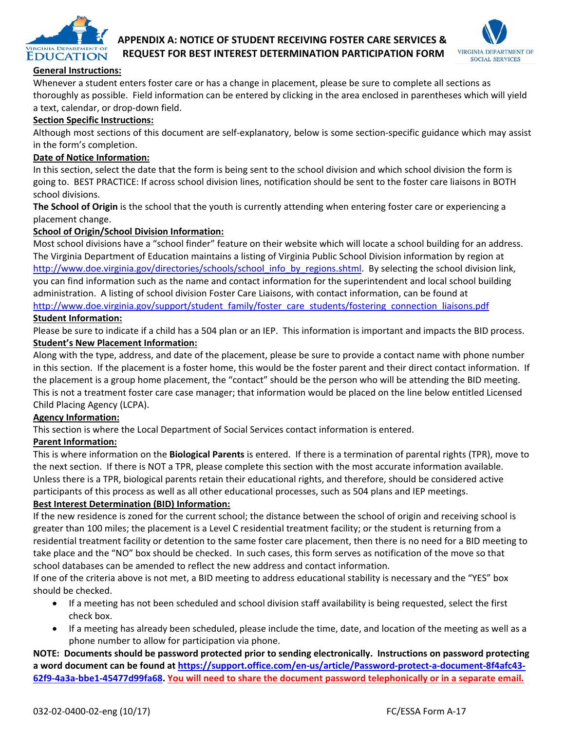

# **APPENDIX A: NOTICE OF STUDENT RECEIVING FOSTER CARE SERVICES & REQUEST FOR BEST INTEREST DETERMINATION PARTICIPATION FORM**



#### **General Instructions:**

Whenever a student enters foster care or has a change in placement, please be sure to complete all sections as thoroughly as possible. Field information can be entered by clicking in the area enclosed in parentheses which will yield a text, calendar, or drop-down field.

#### **Section Specific Instructions:**

Although most sections of this document are self-explanatory, below is some section-specific guidance which may assist in the form's completion.

#### **Date of Notice Information:**

In this section, select the date that the form is being sent to the school division and which school division the form is going to. BEST PRACTICE: If across school division lines, notification should be sent to the foster care liaisons in BOTH school divisions.

**The School of Origin** is the school that the youth is currently attending when entering foster care or experiencing a placement change.

#### **School of Origin/School Division Information:**

Most school divisions have a "school finder" feature on their website which will locate a school building for an address. The Virginia Department of Education maintains a listing of Virginia Public School Division information by region at [http://www.doe.virginia.gov/directories/schools/school\\_info\\_by\\_regions.shtml.](http://www.doe.virginia.gov/directories/schools/school_info_by_regions.shtml) By selecting the school division link, you can find information such as the name and contact information for the superintendent and local school building administration. A listing of school division Foster Care Liaisons, with contact information, can be found at [http://www.doe.virginia.gov/support/student\\_family/foster\\_care\\_students/fostering\\_connection\\_liaisons.pdf](http://www.doe.virginia.gov/support/student_family/foster_care_students/fostering_connection_liaisons.pdf)

#### **Student Information:**

Please be sure to indicate if a child has a 504 plan or an IEP. This information is important and impacts the BID process. **Student's New Placement Information:**

Along with the type, address, and date of the placement, please be sure to provide a contact name with phone number in this section. If the placement is a foster home, this would be the foster parent and their direct contact information. If the placement is a group home placement, the "contact" should be the person who will be attending the BID meeting. This is not a treatment foster care case manager; that information would be placed on the line below entitled Licensed Child Placing Agency (LCPA).

#### **Agency Information:**

This section is where the Local Department of Social Services contact information is entered.

#### **Parent Information:**

This is where information on the **Biological Parents** is entered. If there is a termination of parental rights (TPR), move to the next section. If there is NOT a TPR, please complete this section with the most accurate information available. Unless there is a TPR, biological parents retain their educational rights, and therefore, should be considered active participants of this process as well as all other educational processes, such as 504 plans and IEP meetings.

#### **Best Interest Determination (BID) Information:**

If the new residence is zoned for the current school; the distance between the school of origin and receiving school is greater than 100 miles; the placement is a Level C residential treatment facility; or the student is returning from a residential treatment facility or detention to the same foster care placement, then there is no need for a BID meeting to take place and the "NO" box should be checked. In such cases, this form serves as notification of the move so that school databases can be amended to reflect the new address and contact information.

If one of the criteria above is not met, a BID meeting to address educational stability is necessary and the "YES" box should be checked.

- If a meeting has not been scheduled and school division staff availability is being requested, select the first check box.
- If a meeting has already been scheduled, please include the time, date, and location of the meeting as well as a phone number to allow for participation via phone.

**NOTE: Documents should be password protected prior to sending electronically. Instructions on password protecting a word document can be found at [https://support.office.com/en-us/article/Password-protect-a-document-8f4afc43-](https://support.office.com/en-us/article/Password-protect-a-document-8f4afc43-62f9-4a3a-bbe1-45477d99fa68) [62f9-4a3a-bbe1-45477d99fa68.](https://support.office.com/en-us/article/Password-protect-a-document-8f4afc43-62f9-4a3a-bbe1-45477d99fa68) You will need to share the document password telephonically or in a separate email.**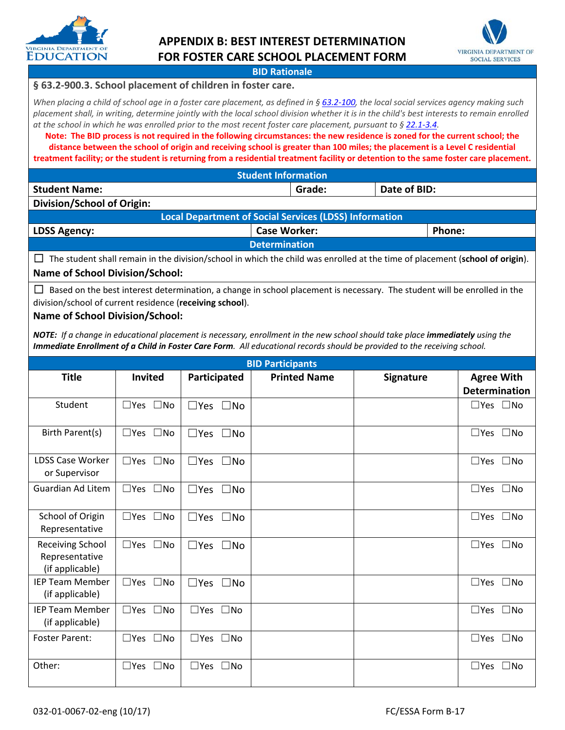

# **APPENDIX B: BEST INTEREST DETERMINATION FOR FOSTER CARE SCHOOL PLACEMENT FORM**



#### **BID Rationale**

#### **§ 63.2-900.3. School placement of children in foster care.**

*When placing a child of school age in a foster care placement, as defined in [§ 63.2-100,](http://law.lis.virginia.gov/vacode/63.2-100/) the local social services agency making such placement shall, in writing, determine jointly with the local school division whether it is in the child's best interests to remain enrolled at the school in which he was enrolled prior to the most recent foster care placement, pursuant to § [22.1-3.4.](http://law.lis.virginia.gov/vacode/22.1-3.4/)*

**Note: The BID process is not required in the following circumstances: the new residence is zoned for the current school; the distance between the school of origin and receiving school is greater than 100 miles; the placement is a Level C residential treatment facility; or the student is returning from a residential treatment facility or detention to the same foster care placement.**

| <b>Student Information</b> |        |              |  |
|----------------------------|--------|--------------|--|
| <b>Student Name:</b>       | Grade: | Date of BID: |  |
| Division/School of Origin: |        |              |  |

| Local Department of Social Services (LDSS) Information |  |  |  |
|--------------------------------------------------------|--|--|--|
| <b>Case Worker:</b><br>Phone:<br><b>LDSS Agency:</b>   |  |  |  |
| <b>Determination</b>                                   |  |  |  |

☐The student shall remain in the division/school in which the child was enrolled at the time of placement (**school of origin**). **Name of School Division/School:**

☐Based on the best interest determination, a change in school placement is necessary. The student will be enrolled in the division/school of current residence (**receiving school**).

#### **Name of School Division/School:**

*NOTE: If a change in educational placement is necessary, enrollment in the new school should take place immediately using the Immediate Enrollment of a Child in Foster Care Form. All educational records should be provided to the receiving school.* 

| <b>BID Participants</b>                                      |                               |                            |                     |                  |                               |
|--------------------------------------------------------------|-------------------------------|----------------------------|---------------------|------------------|-------------------------------|
| <b>Title</b>                                                 | <b>Invited</b>                | Participated               | <b>Printed Name</b> | <b>Signature</b> | <b>Agree With</b>             |
|                                                              |                               |                            |                     |                  | <b>Determination</b>          |
| Student                                                      | $\square$ Yes $\square$ No    | $\square$ Yes $\square$ No |                     |                  | $\square$ Yes $\square$ No    |
| Birth Parent(s)                                              | $\square$ Yes $\square$ No    | $\square$ Yes $\square$ No |                     |                  | $\square$ Yes $\square$ No    |
| <b>LDSS Case Worker</b><br>or Supervisor                     | $\square$ Yes $\square$ No    | $\square$ Yes $\square$ No |                     |                  | $\square$ Yes $\square$ No    |
| Guardian Ad Litem                                            | $\square$ Yes $\square$ No    | $\square$ Yes $\square$ No |                     |                  | $\square$ Yes $\square$ No    |
| School of Origin<br>Representative                           | $\square$ Yes<br>$\square$ No | $\square$ Yes $\square$ No |                     |                  | $\square$ Yes $\square$ No    |
| <b>Receiving School</b><br>Representative<br>(if applicable) | $\Box$ Yes<br>$\square$ No    | $\square$ Yes $\square$ No |                     |                  | $\square$ Yes<br>$\square$ No |
| <b>IEP Team Member</b><br>(if applicable)                    | $\Box$ Yes $\Box$ No          | $\square$ Yes $\square$ No |                     |                  | $\square$ Yes<br>$\square$ No |
| <b>IEP Team Member</b><br>(if applicable)                    | $\square$ Yes $\square$ No    | $\Box$ Yes $\Box$ No       |                     |                  | $\square$ Yes $\square$ No    |
| <b>Foster Parent:</b>                                        | $\square$ Yes $\square$ No    | $\square$ Yes $\square$ No |                     |                  | $\square$ Yes $\square$ No    |
| Other:                                                       | $\Box$ Yes $\Box$ No          | $\Box$ Yes $\Box$ No       |                     |                  | $\square$ Yes<br>$\square$ No |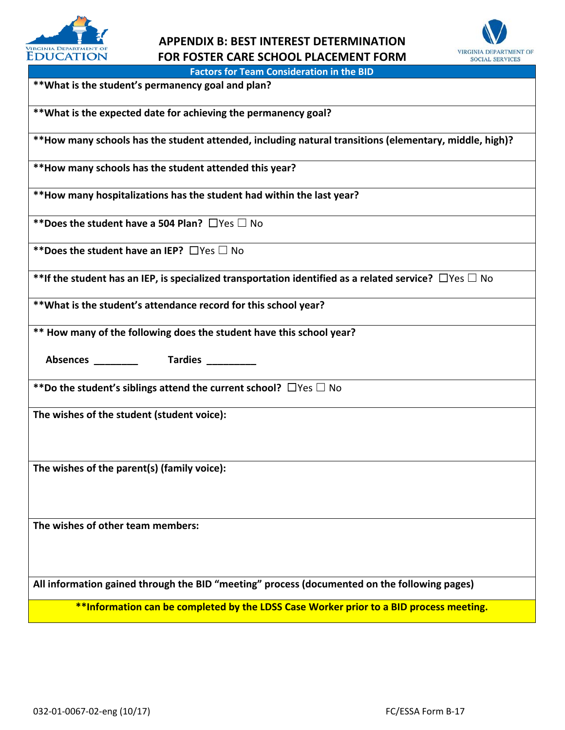

# **APPENDIX B: BEST INTEREST DETERMINATION FOR FOSTER CARE SCHOOL PLACEMENT FORM**



**Factors for Team Consideration in the BID**

**\*\*What is the student's permanency goal and plan?** 

**\*\*What is the expected date for achieving the permanency goal?** 

**\*\*How many schools has the student attended, including natural transitions (elementary, middle, high)?** 

**\*\*How many schools has the student attended this year?** 

**\*\*How many hospitalizations has the student had within the last year?** 

**\*\*Does the student have a 504 Plan?** ☐Yes ☐ No

**\*\*Does the student have an IEP?** ☐Yes ☐ No

**\*\*If the student has an IEP, is specialized transportation identified as a related service?** ☐Yes ☐ No

**\*\*What is the student's attendance record for this school year?** 

**\*\* How many of the following does the student have this school year?** 

 **Absences \_\_\_\_\_\_\_\_ Tardies \_\_\_\_\_\_\_\_\_** 

**\*\*Do the student's siblings attend the current school?** ☐Yes ☐ No

**The wishes of the student (student voice):**

**The wishes of the parent(s) (family voice):** 

**The wishes of other team members:** 

**All information gained through the BID "meeting" process (documented on the following pages)**

**\*\*Information can be completed by the LDSS Case Worker prior to a BID process meeting.**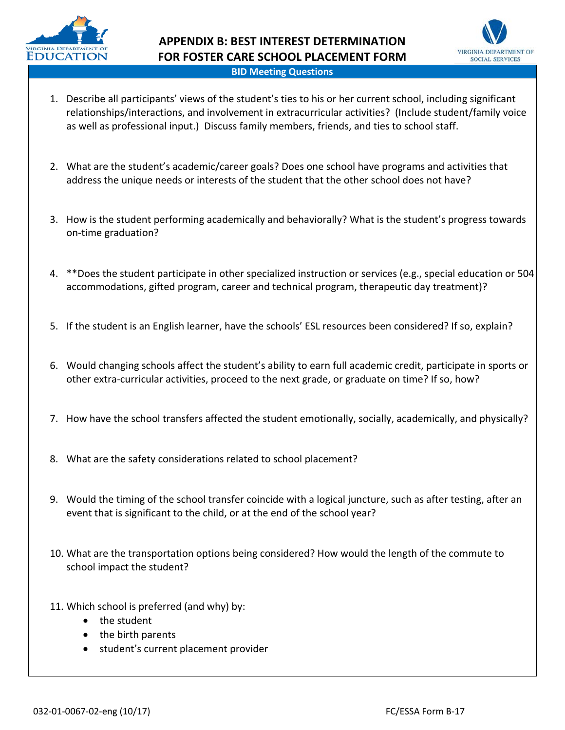



- 1. Describe all participants' views of the student's ties to his or her current school, including significant relationships/interactions, and involvement in extracurricular activities? (Include student/family voice as well as professional input.) Discuss family members, friends, and ties to school staff.
- 2. What are the student's academic/career goals? Does one school have programs and activities that address the unique needs or interests of the student that the other school does not have?
- 3. How is the student performing academically and behaviorally? What is the student's progress towards on-time graduation?
- 4. \*\*Does the student participate in other specialized instruction or services (e.g., special education or 504 accommodations, gifted program, career and technical program, therapeutic day treatment)?
- 5. If the student is an English learner, have the schools' ESL resources been considered? If so, explain?
- 6. Would changing schools affect the student's ability to earn full academic credit, participate in sports or other extra-curricular activities, proceed to the next grade, or graduate on time? If so, how?
- 7. How have the school transfers affected the student emotionally, socially, academically, and physically?
- 8. What are the safety considerations related to school placement?
- 9. Would the timing of the school transfer coincide with a logical juncture, such as after testing, after an event that is significant to the child, or at the end of the school year?
- 10. What are the transportation options being considered? How would the length of the commute to school impact the student?
- 11. Which school is preferred (and why) by:
	- the student
	- the birth parents
	- student's current placement provider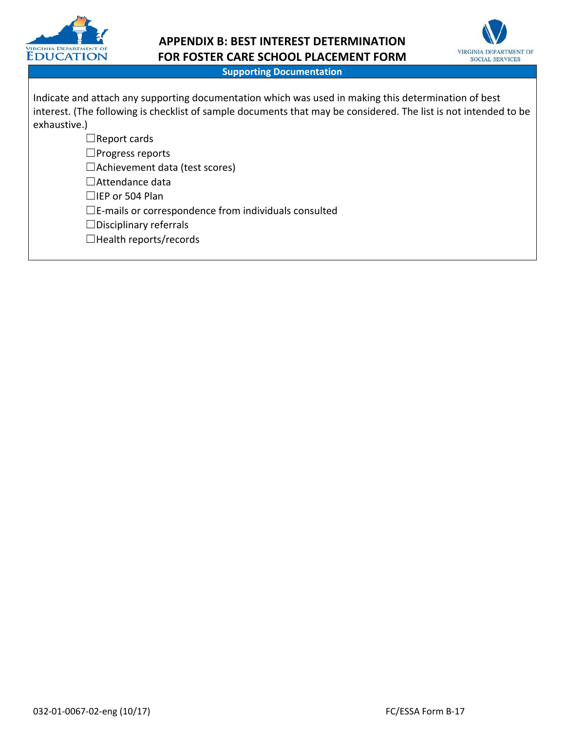

# **APPENDIX B: BEST INTEREST DETERMINATION FOR FOSTER CARE SCHOOL PLACEMENT FORM**



#### **Supporting Documentation**

| Indicate and attach any supporting documentation which was used in making this determination of best<br>interest. (The following is checklist of sample documents that may be considered. The list is not intended to be |
|--------------------------------------------------------------------------------------------------------------------------------------------------------------------------------------------------------------------------|
| exhaustive.)                                                                                                                                                                                                             |
| $\Box$ Report cards                                                                                                                                                                                                      |
| $\Box$ Progress reports                                                                                                                                                                                                  |
| $\Box$ Achievement data (test scores)                                                                                                                                                                                    |
| $\Box$ Attendance data                                                                                                                                                                                                   |
| $\Box$ IEP or 504 Plan                                                                                                                                                                                                   |
| $\square$ E-mails or correspondence from individuals consulted                                                                                                                                                           |
| $\Box$ Disciplinary referrals                                                                                                                                                                                            |
| $\Box$ Health reports/records                                                                                                                                                                                            |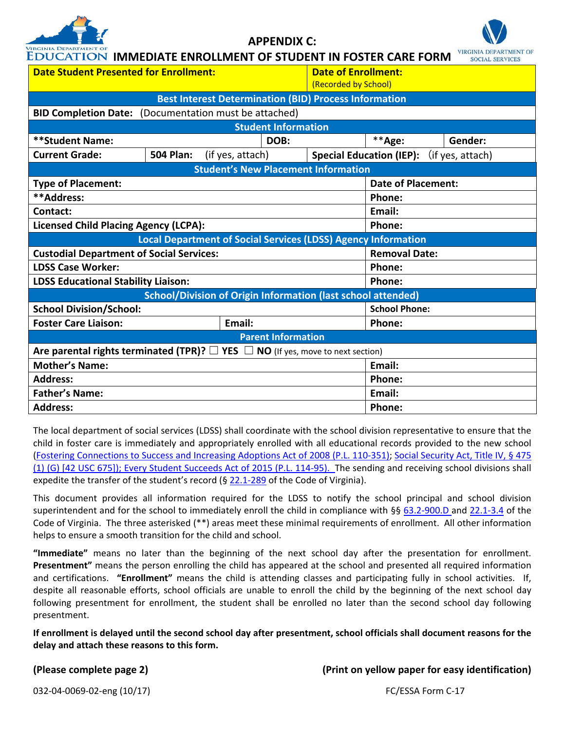

**APPENDIX C:** 



| <b>VIRGINIA DEPARTMENT OF</b><br><b>EDUCATION IMMEDIATE ENROLLMENT OF STUDENT IN FOSTER CARE FORM</b> |                                                                                                 |                                                    |                      |                                 | <b>VIRGINIA DEPARTMENT OF</b><br><b>SOCIAL SERVICES</b> |  |
|-------------------------------------------------------------------------------------------------------|-------------------------------------------------------------------------------------------------|----------------------------------------------------|----------------------|---------------------------------|---------------------------------------------------------|--|
| <b>Date Student Presented for Enrollment:</b>                                                         |                                                                                                 | <b>Date of Enrollment:</b><br>(Recorded by School) |                      |                                 |                                                         |  |
|                                                                                                       | <b>Best Interest Determination (BID) Process Information</b>                                    |                                                    |                      |                                 |                                                         |  |
|                                                                                                       | <b>BID Completion Date:</b> (Documentation must be attached)                                    |                                                    |                      |                                 |                                                         |  |
|                                                                                                       |                                                                                                 | <b>Student Information</b>                         |                      |                                 |                                                         |  |
| **Student Name:                                                                                       |                                                                                                 | DOB:                                               |                      | **Age:                          | Gender:                                                 |  |
| <b>Current Grade:</b>                                                                                 | <b>504 Plan:</b><br>(if yes, attach)                                                            |                                                    |                      | <b>Special Education (IEP):</b> | (if yes, attach)                                        |  |
|                                                                                                       | <b>Student's New Placement Information</b>                                                      |                                                    |                      |                                 |                                                         |  |
| <b>Type of Placement:</b>                                                                             |                                                                                                 |                                                    |                      | <b>Date of Placement:</b>       |                                                         |  |
| **Address:                                                                                            |                                                                                                 |                                                    |                      | Phone:                          |                                                         |  |
| Contact:                                                                                              |                                                                                                 |                                                    |                      | Email:                          |                                                         |  |
| <b>Licensed Child Placing Agency (LCPA):</b>                                                          |                                                                                                 |                                                    | Phone:               |                                 |                                                         |  |
|                                                                                                       | <b>Local Department of Social Services (LDSS) Agency Information</b>                            |                                                    |                      |                                 |                                                         |  |
| <b>Custodial Department of Social Services:</b>                                                       |                                                                                                 |                                                    | <b>Removal Date:</b> |                                 |                                                         |  |
| <b>LDSS Case Worker:</b>                                                                              |                                                                                                 |                                                    | Phone:               |                                 |                                                         |  |
| <b>LDSS Educational Stability Liaison:</b>                                                            |                                                                                                 | Phone:                                             |                      |                                 |                                                         |  |
| <b>School/Division of Origin Information (last school attended)</b>                                   |                                                                                                 |                                                    |                      |                                 |                                                         |  |
| <b>School Division/School:</b>                                                                        |                                                                                                 | <b>School Phone:</b>                               |                      |                                 |                                                         |  |
| <b>Foster Care Liaison:</b>                                                                           | Email:                                                                                          |                                                    |                      | Phone:                          |                                                         |  |
|                                                                                                       |                                                                                                 | <b>Parent Information</b>                          |                      |                                 |                                                         |  |
|                                                                                                       | Are parental rights terminated (TPR)? $\square$ YES $\square$ NO (If yes, move to next section) |                                                    |                      |                                 |                                                         |  |
| <b>Mother's Name:</b>                                                                                 |                                                                                                 | Email:                                             |                      |                                 |                                                         |  |
| <b>Address:</b>                                                                                       |                                                                                                 |                                                    |                      | Phone:                          |                                                         |  |
| <b>Father's Name:</b>                                                                                 |                                                                                                 |                                                    |                      | Email:                          |                                                         |  |

The local department of social services (LDSS) shall coordinate with the school division representative to ensure that the child in foster care is immediately and appropriately enrolled with all educational records provided to the new school [\(Fostering Connections to Success and Increasing Adoptions Act of 2008 \(P.L. 110-351\);](http://www.fosteringconnections.org/tools/assets/files/Public_Law_110-351.pdf) [Social Security Act, Title IV, § 475](http://www.ssa.gov/OP_Home/ssact/title04/0475.htm)  [\(1\) \(G\) \[42 USC 675\]\)](http://www.ssa.gov/OP_Home/ssact/title04/0475.htm); Every Student Succeeds Act of 2015 (P.L. 114-95). The sending and receiving school divisions shall expedite the transfer of the student's record (§ [22.1-289](http://leg1.state.va.us/cgi-bin/legp504.exe?000+cod+22.1-289) of the Code of Virginia).

**Address: Phone:** 

This document provides all information required for the LDSS to notify the school principal and school division superintendent and for the school to immediately enroll the child in compliance with §§ [63.2-900.D](http://leg1.state.va.us/cgi-bin/legp504.exe?000+cod+63.2-900) and [22.1-3.4](http://leg1.state.va.us/cgi-bin/legp504.exe?000+cod+22.1-3.4) of the Code of Virginia. The three asterisked (\*\*) areas meet these minimal requirements of enrollment. All other information helps to ensure a smooth transition for the child and school.

**"Immediate"** means no later than the beginning of the next school day after the presentation for enrollment. **Presentment"** means the person enrolling the child has appeared at the school and presented all required information and certifications. **"Enrollment"** means the child is attending classes and participating fully in school activities. If, despite all reasonable efforts, school officials are unable to enroll the child by the beginning of the next school day following presentment for enrollment, the student shall be enrolled no later than the second school day following presentment.

**If enrollment is delayed until the second school day after presentment, school officials shall document reasons for the delay and attach these reasons to this form.**

**(Please complete page 2) (Print on yellow paper for easy identification)**

032-04-0069-02-eng (10/17) FC/ESSA Form C-17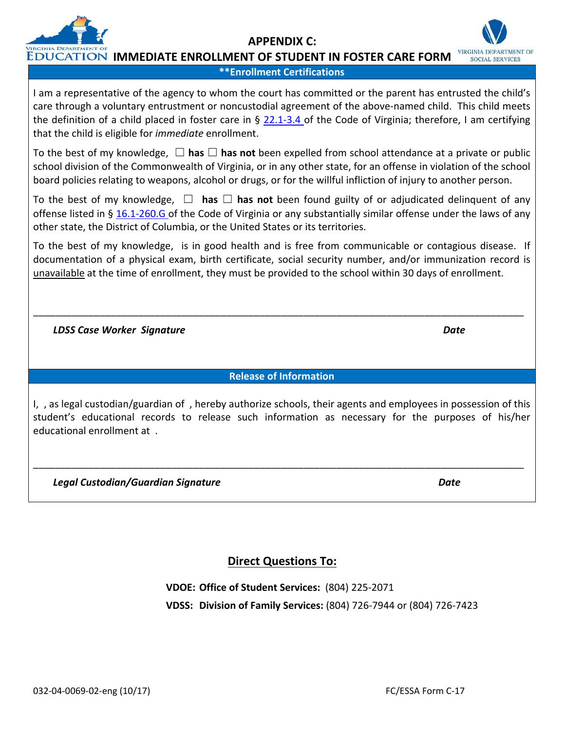I am a representative of the agency to whom the court has committed or the parent has entrusted the child's care through a voluntary entrustment or noncustodial agreement of the above-named child. This child meets the definition of a child placed in foster care in § [22.1-3.4](http://leg1.state.va.us/cgi-bin/legp504.exe?000+cod+22.1-3.4) of the Code of Virginia; therefore, I am certifying that the child is eligible for *immediate* enrollment.

**APPENDIX C:** 

**\*\*Enrollment Certifications**

To the best of my knowledge, ☐ **has** ☐ **has not** been expelled from school attendance at a private or public school division of the Commonwealth of Virginia, or in any other state, for an offense in violation of the school board policies relating to weapons, alcohol or drugs, or for the willful infliction of injury to another person.

To the best of my knowledge, ☐ **has** ☐ **has not** been found guilty of or adjudicated delinquent of any offense listed in § [16.1-260.G](http://leg1.state.va.us/cgi-bin/legp504.exe?000+cod+16.1-260) of the Code of Virginia or any substantially similar offense under the laws of any other state, the District of Columbia, or the United States or its territories.

To the best of my knowledge, is in good health and is free from communicable or contagious disease. If documentation of a physical exam, birth certificate, social security number, and/or immunization record is unavailable at the time of enrollment, they must be provided to the school within 30 days of enrollment.

 *LDSS Case Worker Signature Date*

**Release of Information**

\_\_\_\_\_\_\_\_\_\_\_\_\_\_\_\_\_\_\_\_\_\_\_\_\_\_\_\_\_\_\_\_\_\_\_\_\_\_\_\_\_\_\_\_\_\_\_\_\_\_\_\_\_\_\_\_\_\_\_\_\_\_\_\_\_\_\_\_\_\_\_\_\_\_\_\_\_\_\_\_\_\_\_\_\_\_\_\_\_

I, , as legal custodian/guardian of , hereby authorize schools, their agents and employees in possession of this student's educational records to release such information as necessary for the purposes of his/her educational enrollment at .

\_\_\_\_\_\_\_\_\_\_\_\_\_\_\_\_\_\_\_\_\_\_\_\_\_\_\_\_\_\_\_\_\_\_\_\_\_\_\_\_\_\_\_\_\_\_\_\_\_\_\_\_\_\_\_\_\_\_\_\_\_\_\_\_\_\_\_\_\_\_\_\_\_\_\_\_\_\_\_\_\_\_\_\_\_\_\_\_\_

 *Legal Custodian/Guardian Signature Date*

**Direct Questions To:**

**VDOE: Office of Student Services:** (804) 225-2071 **VDSS: Division of Family Services:** (804) 726-7944 or (804) 726-7423



**VIRGINIA DEPARTMENT OF SOCIAL SERVICES**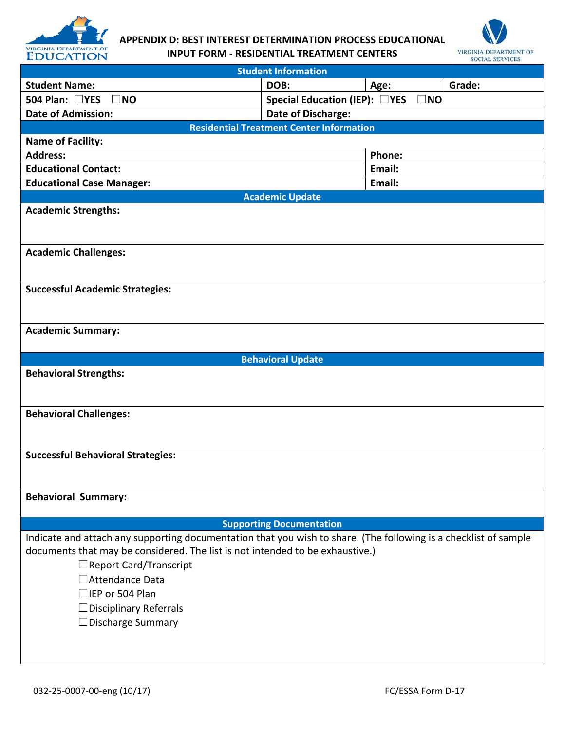

# **APPENDIX D: BEST INTEREST DETERMINATION PROCESS EDUCATIONAL INPUT FORM - RESIDENTIAL TREATMENT CENTERS**



| <b>Student Information</b>                                                    |                                                                                                                  |  |  |  |
|-------------------------------------------------------------------------------|------------------------------------------------------------------------------------------------------------------|--|--|--|
| <b>Student Name:</b>                                                          | DOB:<br>Grade:<br>Age:                                                                                           |  |  |  |
| 504 Plan: □YES<br>$\square$ NO                                                | Special Education (IEP): □YES<br>$\square$ NO                                                                    |  |  |  |
| <b>Date of Admission:</b>                                                     | Date of Discharge:                                                                                               |  |  |  |
|                                                                               | <b>Residential Treatment Center Information</b>                                                                  |  |  |  |
| <b>Name of Facility:</b>                                                      |                                                                                                                  |  |  |  |
| <b>Address:</b>                                                               | Phone:                                                                                                           |  |  |  |
| <b>Educational Contact:</b>                                                   | Email:                                                                                                           |  |  |  |
| <b>Educational Case Manager:</b>                                              | Email:                                                                                                           |  |  |  |
|                                                                               | <b>Academic Update</b>                                                                                           |  |  |  |
| <b>Academic Strengths:</b>                                                    |                                                                                                                  |  |  |  |
|                                                                               |                                                                                                                  |  |  |  |
|                                                                               |                                                                                                                  |  |  |  |
| <b>Academic Challenges:</b>                                                   |                                                                                                                  |  |  |  |
|                                                                               |                                                                                                                  |  |  |  |
| <b>Successful Academic Strategies:</b>                                        |                                                                                                                  |  |  |  |
|                                                                               |                                                                                                                  |  |  |  |
|                                                                               |                                                                                                                  |  |  |  |
| <b>Academic Summary:</b>                                                      |                                                                                                                  |  |  |  |
|                                                                               |                                                                                                                  |  |  |  |
|                                                                               | <b>Behavioral Update</b>                                                                                         |  |  |  |
| <b>Behavioral Strengths:</b>                                                  |                                                                                                                  |  |  |  |
|                                                                               |                                                                                                                  |  |  |  |
|                                                                               |                                                                                                                  |  |  |  |
| <b>Behavioral Challenges:</b>                                                 |                                                                                                                  |  |  |  |
|                                                                               |                                                                                                                  |  |  |  |
|                                                                               |                                                                                                                  |  |  |  |
| <b>Successful Behavioral Strategies:</b>                                      |                                                                                                                  |  |  |  |
|                                                                               |                                                                                                                  |  |  |  |
|                                                                               |                                                                                                                  |  |  |  |
| <b>Behavioral Summary:</b>                                                    |                                                                                                                  |  |  |  |
|                                                                               |                                                                                                                  |  |  |  |
|                                                                               | <b>Supporting Documentation</b>                                                                                  |  |  |  |
| documents that may be considered. The list is not intended to be exhaustive.) | Indicate and attach any supporting documentation that you wish to share. (The following is a checklist of sample |  |  |  |
| $\Box$ Report Card/Transcript                                                 |                                                                                                                  |  |  |  |
| □ Attendance Data                                                             |                                                                                                                  |  |  |  |
|                                                                               |                                                                                                                  |  |  |  |
| $\Box$ IEP or 504 Plan                                                        |                                                                                                                  |  |  |  |
| $\Box$ Disciplinary Referrals                                                 |                                                                                                                  |  |  |  |
| $\Box$ Discharge Summary                                                      |                                                                                                                  |  |  |  |
|                                                                               |                                                                                                                  |  |  |  |
|                                                                               |                                                                                                                  |  |  |  |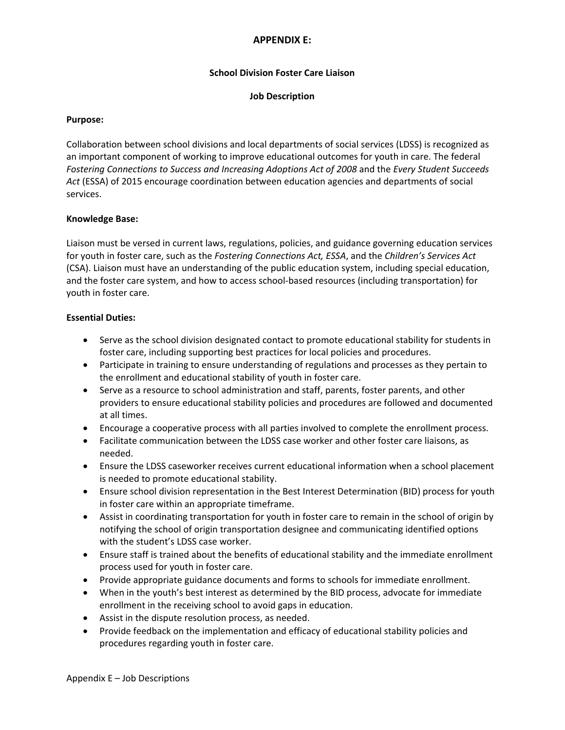#### **APPENDIX E:**

#### **School Division Foster Care Liaison**

#### **Job Description**

#### **Purpose:**

Collaboration between school divisions and local departments of social services (LDSS) is recognized as an important component of working to improve educational outcomes for youth in care. The federal *Fostering Connections to Success and Increasing Adoptions Act of 2008* and the *Every Student Succeeds Act* (ESSA) of 2015 encourage coordination between education agencies and departments of social services.

#### **Knowledge Base:**

Liaison must be versed in current laws, regulations, policies, and guidance governing education services for youth in foster care, such as the *Fostering Connections Act, ESSA*, and the *Children's Services Act* (CSA). Liaison must have an understanding of the public education system, including special education, and the foster care system, and how to access school-based resources (including transportation) for youth in foster care.

#### **Essential Duties:**

- Serve as the school division designated contact to promote educational stability for students in foster care, including supporting best practices for local policies and procedures.
- Participate in training to ensure understanding of regulations and processes as they pertain to the enrollment and educational stability of youth in foster care.
- Serve as a resource to school administration and staff, parents, foster parents, and other providers to ensure educational stability policies and procedures are followed and documented at all times.
- Encourage a cooperative process with all parties involved to complete the enrollment process.
- Facilitate communication between the LDSS case worker and other foster care liaisons, as needed.
- Ensure the LDSS caseworker receives current educational information when a school placement is needed to promote educational stability.
- Ensure school division representation in the Best Interest Determination (BID) process for youth in foster care within an appropriate timeframe.
- Assist in coordinating transportation for youth in foster care to remain in the school of origin by notifying the school of origin transportation designee and communicating identified options with the student's LDSS case worker.
- Ensure staff is trained about the benefits of educational stability and the immediate enrollment process used for youth in foster care.
- Provide appropriate guidance documents and forms to schools for immediate enrollment.
- When in the youth's best interest as determined by the BID process, advocate for immediate enrollment in the receiving school to avoid gaps in education.
- Assist in the dispute resolution process, as needed.
- Provide feedback on the implementation and efficacy of educational stability policies and procedures regarding youth in foster care.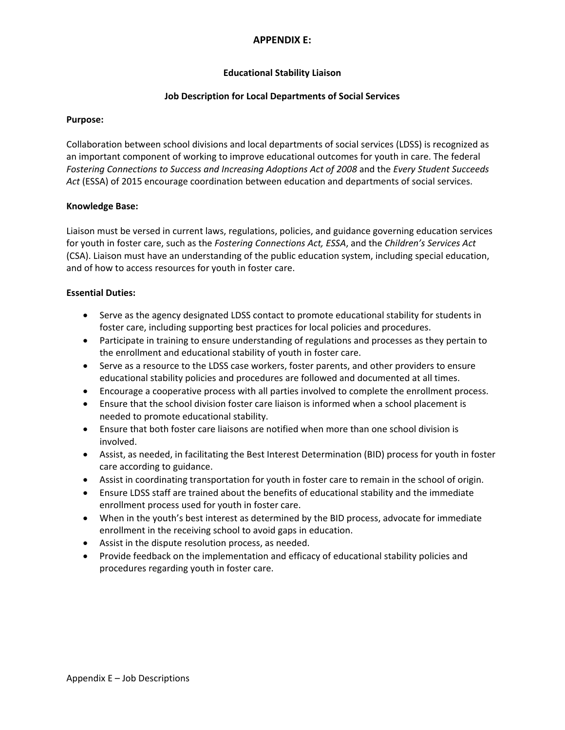#### **APPENDIX E:**

#### **Educational Stability Liaison**

#### **Job Description for Local Departments of Social Services**

#### **Purpose:**

Collaboration between school divisions and local departments of social services (LDSS) is recognized as an important component of working to improve educational outcomes for youth in care. The federal *Fostering Connections to Success and Increasing Adoptions Act of 2008* and the *Every Student Succeeds Act* (ESSA) of 2015 encourage coordination between education and departments of social services.

#### **Knowledge Base:**

Liaison must be versed in current laws, regulations, policies, and guidance governing education services for youth in foster care, such as the *Fostering Connections Act, ESSA*, and the *Children's Services Act* (CSA). Liaison must have an understanding of the public education system, including special education, and of how to access resources for youth in foster care.

#### **Essential Duties:**

- Serve as the agency designated LDSS contact to promote educational stability for students in foster care, including supporting best practices for local policies and procedures.
- Participate in training to ensure understanding of regulations and processes as they pertain to the enrollment and educational stability of youth in foster care.
- Serve as a resource to the LDSS case workers, foster parents, and other providers to ensure educational stability policies and procedures are followed and documented at all times.
- Encourage a cooperative process with all parties involved to complete the enrollment process.
- Ensure that the school division foster care liaison is informed when a school placement is needed to promote educational stability.
- Ensure that both foster care liaisons are notified when more than one school division is involved.
- Assist, as needed, in facilitating the Best Interest Determination (BID) process for youth in foster care according to guidance.
- Assist in coordinating transportation for youth in foster care to remain in the school of origin.
- Ensure LDSS staff are trained about the benefits of educational stability and the immediate enrollment process used for youth in foster care.
- When in the youth's best interest as determined by the BID process, advocate for immediate enrollment in the receiving school to avoid gaps in education.
- Assist in the dispute resolution process, as needed.
- Provide feedback on the implementation and efficacy of educational stability policies and procedures regarding youth in foster care.